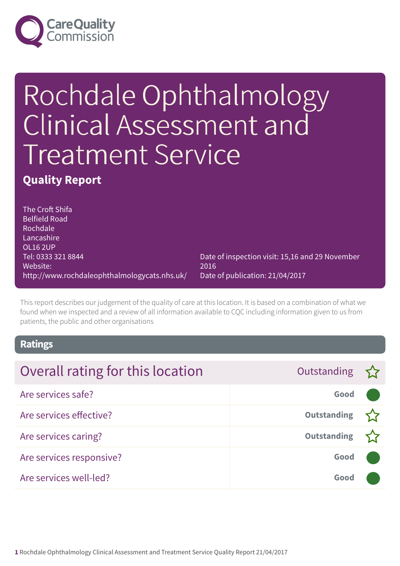

# Rochdale Ophthalmology Clinical Assessment and Treatment Service

### **Quality Report**

The Croft Shifa Belfield Road Rochdale **Lancashire** OL16 2UP Tel: 0333 321 8844 Website: http://www.rochdaleophthalmologycats.nhs.uk/

Date of inspection visit: 15,16 and 29 November 2016 Date of publication: 21/04/2017

This report describes our judgement of the quality of care at this location. It is based on a combination of what we found when we inspected and a review of all information available to CQC including information given to us from patients, the public and other organisations

### **Ratings**

| Overall rating for this location | Outstanding $\sum$ |  |
|----------------------------------|--------------------|--|
| Are services safe?               | Good               |  |
| Are services effective?          | <b>Outstanding</b> |  |
| Are services caring?             | <b>Outstanding</b> |  |
| Are services responsive?         | Good               |  |
| Are services well-led?           | Good               |  |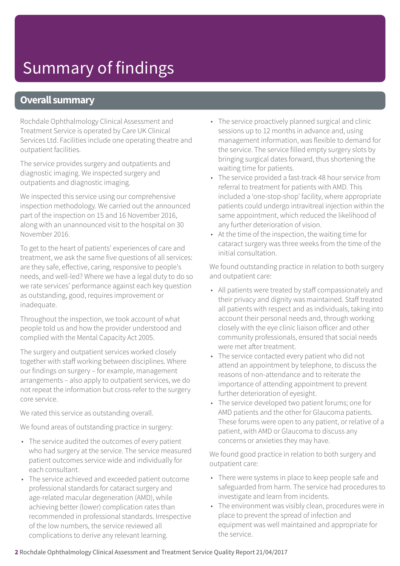### **Overall summary**

Rochdale Ophthalmology Clinical Assessment and Treatment Service is operated by Care UK Clinical Services Ltd. Facilities include one operating theatre and outpatient facilities.

The service provides surgery and outpatients and diagnostic imaging. We inspected surgery and outpatients and diagnostic imaging.

We inspected this service using our comprehensive inspection methodology. We carried out the announced part of the inspection on 15 and 16 November 2016, along with an unannounced visit to the hospital on 30 November 2016.

To get to the heart of patients' experiences of care and treatment, we ask the same five questions of all services: are they safe, effective, caring, responsive to people's needs, and well-led? Where we have a legal duty to do so we rate services' performance against each key question as outstanding, good, requires improvement or inadequate.

Throughout the inspection, we took account of what people told us and how the provider understood and complied with the Mental Capacity Act 2005.

The surgery and outpatient services worked closely together with staff working between disciplines. Where our findings on surgery – for example, management arrangements – also apply to outpatient services, we do not repeat the information but cross-refer to the surgery core service.

We rated this service as outstanding overall.

We found areas of outstanding practice in surgery:

- The service audited the outcomes of every patient who had surgery at the service. The service measured patient outcomes service wide and individually for each consultant.
- The service achieved and exceeded patient outcome professional standards for cataract surgery and age-related macular degeneration (AMD), while achieving better (lower) complication rates than recommended in professional standards. Irrespective of the low numbers, the service reviewed all complications to derive any relevant learning.
- The service proactively planned surgical and clinic sessions up to 12 months in advance and, using management information, was flexible to demand for the service. The service filled empty surgery slots by bringing surgical dates forward, thus shortening the waiting time for patients.
- The service provided a fast-track 48 hour service from referral to treatment for patients with AMD. This included a 'one-stop-shop' facility, where appropriate patients could undergo intravitreal injection within the same appointment, which reduced the likelihood of any further deterioration of vision.
- At the time of the inspection, the waiting time for cataract surgery was three weeks from the time of the initial consultation.

We found outstanding practice in relation to both surgery and outpatient care:

- All patients were treated by staff compassionately and their privacy and dignity was maintained. Staff treated all patients with respect and as individuals, taking into account their personal needs and, through working closely with the eye clinic liaison officer and other community professionals, ensured that social needs were met after treatment.
- The service contacted every patient who did not attend an appointment by telephone, to discuss the reasons of non-attendance and to reiterate the importance of attending appointment to prevent further deterioration of eyesight.
- The service developed two patient forums; one for AMD patients and the other for Glaucoma patients. These forums were open to any patient, or relative of a patient, with AMD or Glaucoma to discuss any concerns or anxieties they may have.

We found good practice in relation to both surgery and outpatient care:

- There were systems in place to keep people safe and safeguarded from harm. The service had procedures to investigate and learn from incidents.
- The environment was visibly clean, procedures were in place to prevent the spread of infection and equipment was well maintained and appropriate for the service.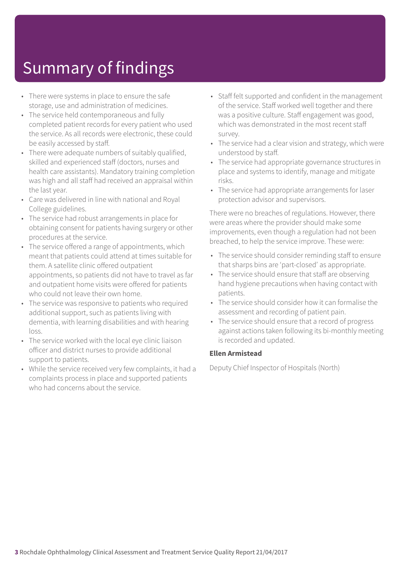- There were systems in place to ensure the safe storage, use and administration of medicines.
- The service held contemporaneous and fully completed patient records for every patient who used the service. As all records were electronic, these could be easily accessed by staff.
- There were adequate numbers of suitably qualified, skilled and experienced staff (doctors, nurses and health care assistants). Mandatory training completion was high and all staff had received an appraisal within the last year.
- Care was delivered in line with national and Royal College guidelines.
- The service had robust arrangements in place for obtaining consent for patients having surgery or other procedures at the service.
- The service offered a range of appointments, which meant that patients could attend at times suitable for them. A satellite clinic offered outpatient appointments, so patients did not have to travel as far and outpatient home visits were offered for patients who could not leave their own home.
- The service was responsive to patients who required additional support, such as patients living with dementia, with learning disabilities and with hearing loss.
- The service worked with the local eye clinic liaison officer and district nurses to provide additional support to patients.
- While the service received very few complaints, it had a complaints process in place and supported patients who had concerns about the service.
- Staff felt supported and confident in the management of the service. Staff worked well together and there was a positive culture. Staff engagement was good, which was demonstrated in the most recent staff survey.
- The service had a clear vision and strategy, which were understood by staff.
- The service had appropriate governance structures in place and systems to identify, manage and mitigate risks.
- The service had appropriate arrangements for laser protection advisor and supervisors.

There were no breaches of regulations. However, there were areas where the provider should make some improvements, even though a regulation had not been breached, to help the service improve. These were:

- The service should consider reminding staff to ensure that sharps bins are 'part-closed' as appropriate.
- The service should ensure that staff are observing hand hygiene precautions when having contact with patients.
- The service should consider how it can formalise the assessment and recording of patient pain.
- The service should ensure that a record of progress against actions taken following its bi-monthly meeting is recorded and updated.

#### **Ellen Armistead**

Deputy Chief Inspector of Hospitals (North)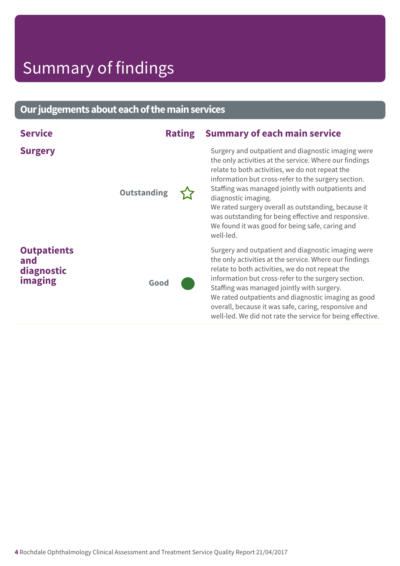### **Ourjudgementsabouteachofthemainservices**

| <b>Service</b>                                     | <b>Rating</b>      | <b>Summary of each main service</b>                                                                                                                                                                                                                                                                                                                                                                                                                                              |
|----------------------------------------------------|--------------------|----------------------------------------------------------------------------------------------------------------------------------------------------------------------------------------------------------------------------------------------------------------------------------------------------------------------------------------------------------------------------------------------------------------------------------------------------------------------------------|
| <b>Surgery</b>                                     | <b>Outstanding</b> | Surgery and outpatient and diagnostic imaging were<br>the only activities at the service. Where our findings<br>relate to both activities, we do not repeat the<br>information but cross-refer to the surgery section.<br>Staffing was managed jointly with outpatients and<br>diagnostic imaging.<br>We rated surgery overall as outstanding, because it<br>was outstanding for being effective and responsive.<br>We found it was good for being safe, caring and<br>well-led. |
| <b>Outpatients</b><br>and<br>diagnostic<br>imaging | Good               | Surgery and outpatient and diagnostic imaging were<br>the only activities at the service. Where our findings<br>relate to both activities, we do not repeat the<br>information but cross-refer to the surgery section.<br>Staffing was managed jointly with surgery.<br>We rated outpatients and diagnostic imaging as good<br>overall, because it was safe, caring, responsive and<br>well-led. We did not rate the service for being effective.                                |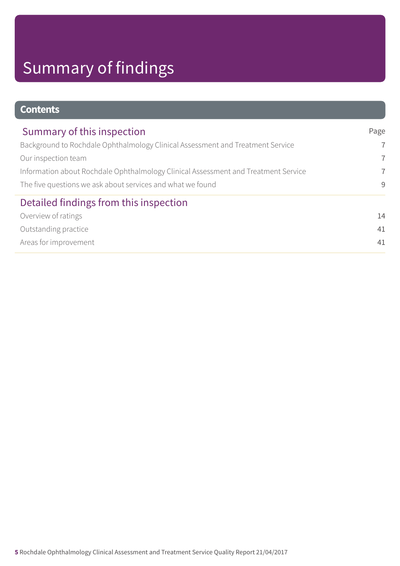| <b>Contents</b>                                                                    |                |
|------------------------------------------------------------------------------------|----------------|
| Summary of this inspection                                                         | Page           |
| Background to Rochdale Ophthalmology Clinical Assessment and Treatment Service     | $\overline{7}$ |
| Our inspection team                                                                | $\overline{7}$ |
| Information about Rochdale Ophthalmology Clinical Assessment and Treatment Service | $\overline{7}$ |
| The five questions we ask about services and what we found                         | 9              |
| Detailed findings from this inspection                                             |                |
| Overview of ratings                                                                | 14             |
| Outstanding practice                                                               | 41             |
| Areas for improvement                                                              | 41             |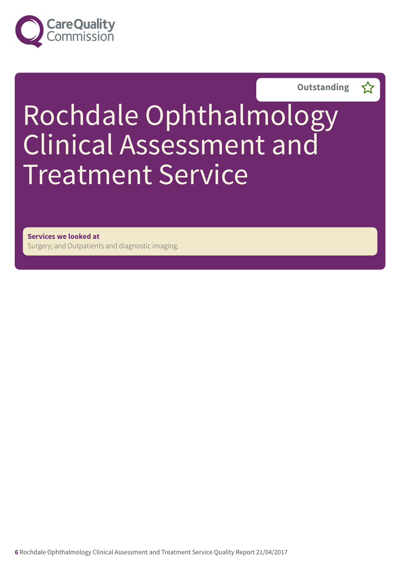



# Rochdale Ophthalmology Clinical Assessment and Treatment Service

**Services we looked at** Surgery; and Outpatients and diagnostic imaging.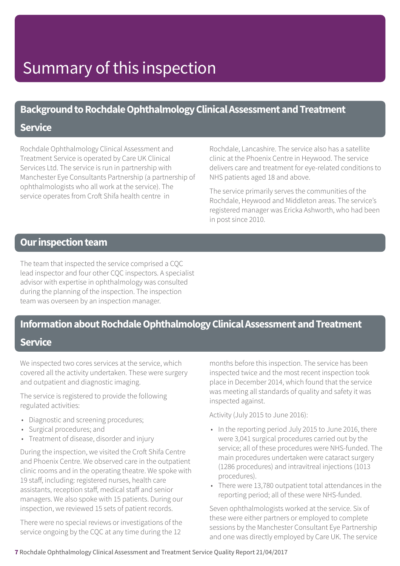### **Background to Rochdale Ophthalmology Clinical Assessment and Treatment**

### **Service**

Rochdale Ophthalmology Clinical Assessment and Treatment Service is operated by Care UK Clinical Services Ltd. The service is run in partnership with Manchester Eye Consultants Partnership (a partnership of ophthalmologists who all work at the service). The service operates from Croft Shifa health centre in

Rochdale, Lancashire. The service also has a satellite clinic at the Phoenix Centre in Heywood. The service delivers care and treatment for eye-related conditions to NHS patients aged 18 and above.

The service primarily serves the communities of the Rochdale, Heywood and Middleton areas. The service's registered manager was Ericka Ashworth, who had been in post since 2010.

### **Our inspection team**

The team that inspected the service comprised a CQC lead inspector and four other CQC inspectors. A specialist advisor with expertise in ophthalmology was consulted during the planning of the inspection. The inspection team was overseen by an inspection manager.

### **Information about Rochdale Ophthalmology Clinical Assessment and Treatment**

### **Service**

We inspected two cores services at the service, which covered all the activity undertaken. These were surgery and outpatient and diagnostic imaging.

The service is registered to provide the following regulated activities:

- Diagnostic and screening procedures;
- Surgical procedures; and
- Treatment of disease, disorder and injury

During the inspection, we visited the Croft Shifa Centre and Phoenix Centre. We observed care in the outpatient clinic rooms and in the operating theatre. We spoke with 19 staff, including: registered nurses, health care assistants, reception staff, medical staff and senior managers. We also spoke with 15 patients. During our inspection, we reviewed 15 sets of patient records.

There were no special reviews or investigations of the service ongoing by the CQC at any time during the 12

months before this inspection. The service has been inspected twice and the most recent inspection took place in December 2014, which found that the service was meeting all standards of quality and safety it was inspected against.

Activity (July 2015 to June 2016):

- In the reporting period July 2015 to June 2016, there were 3,041 surgical procedures carried out by the service; all of these procedures were NHS-funded. The main procedures undertaken were cataract surgery (1286 procedures) and intravitreal injections (1013 procedures).
- There were 13,780 outpatient total attendances in the reporting period; all of these were NHS-funded.

Seven ophthalmologists worked at the service. Six of these were either partners or employed to complete sessions by the Manchester Consultant Eye Partnership and one was directly employed by Care UK. The service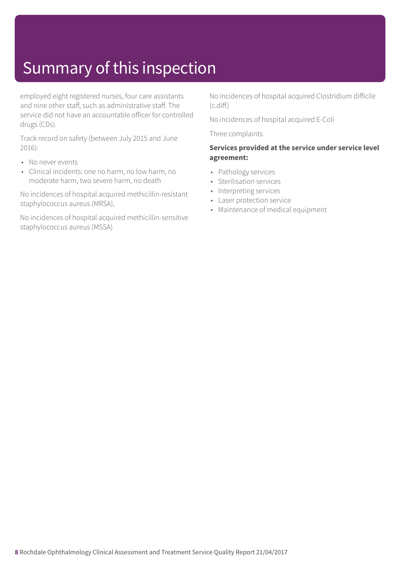employed eight registered nurses, four care assistants and nine other staff, such as administrative staff. The service did not have an accountable officer for controlled drugs (CDs).

Track record on safety (between July 2015 and June 2016):

- No never events
- Clinical incidents: one no harm, no low harm, no moderate harm, two severe harm, no death

No incidences of hospital acquired methicillin-resistant staphylococcus aureus (MRSA),

No incidences of hospital acquired methicillin-sensitive staphylococcus aureus (MSSA)

No incidences of hospital acquired Clostridium difficile (c.diff)

No incidences of hospital acquired E-Coli

Three complaints

### **Services provided at the service under service level agreement:**

- Pathology services
- Sterilisation services
- Interpreting services
- Laser protection service
- Maintenance of medical equipment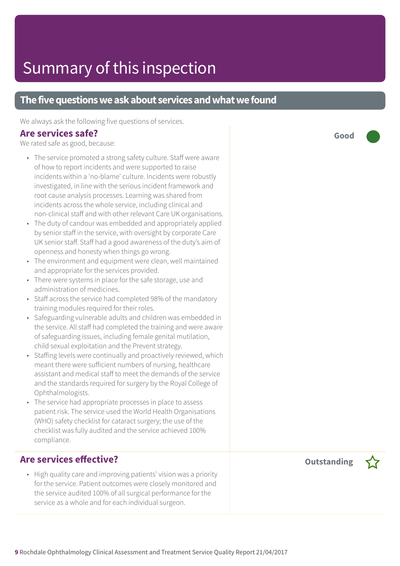### **The five questions we ask about services and what we found**

We always ask the following five questions of services.

### **Are services safe?**

We rated safe as good, because:

- The service promoted a strong safety culture. Staff were aware of how to report incidents and were supported to raise incidents within a 'no-blame' culture. Incidents were robustly investigated, in line with the serious incident framework and root cause analysis processes. Learning was shared from incidents across the whole service, including clinical and non-clinical staff and with other relevant Care UK organisations.
- The duty of candour was embedded and appropriately applied by senior staff in the service, with oversight by corporate Care UK senior staff. Staff had a good awareness of the duty's aim of openness and honesty when things go wrong.
- The environment and equipment were clean, well maintained and appropriate for the services provided.
- There were systems in place for the safe storage, use and administration of medicines.
- Staff across the service had completed 98% of the mandatory training modules required for their roles.
- Safeguarding vulnerable adults and children was embedded in the service. All staff had completed the training and were aware of safeguarding issues, including female genital mutilation, child sexual exploitation and the Prevent strategy.
- Staffing levels were continually and proactively reviewed, which meant there were sufficient numbers of nursing, healthcare assistant and medical staff to meet the demands of the service and the standards required for surgery by the Royal College of Ophthalmologists.
- The service had appropriate processes in place to assess patient risk. The service used the World Health Organisations (WHO) safety checklist for cataract surgery; the use of the checklist was fully audited and the service achieved 100% compliance.

### **Are services effective?**

• High quality care and improving patients' vision was a priority for the service. Patient outcomes were closely monitored and the service audited 100% of all surgical performance for the service as a whole and for each individual surgeon.

**Outstanding –**



**Good –––**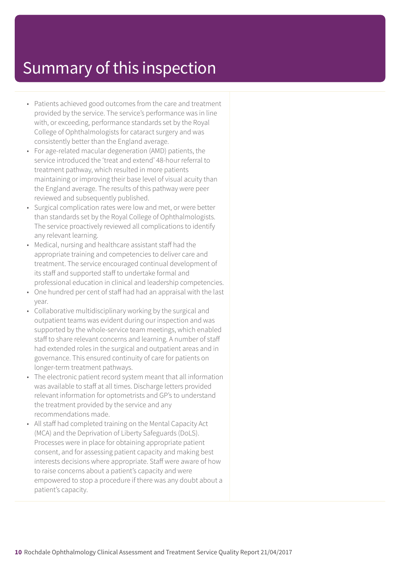- Patients achieved good outcomes from the care and treatment provided by the service. The service's performance was in line with, or exceeding, performance standards set by the Royal College of Ophthalmologists for cataract surgery and was consistently better than the England average.
- For age-related macular degeneration (AMD) patients, the service introduced the 'treat and extend' 48-hour referral to treatment pathway, which resulted in more patients maintaining or improving their base level of visual acuity than the England average. The results of this pathway were peer reviewed and subsequently published.
- Surgical complication rates were low and met, or were better than standards set by the Royal College of Ophthalmologists. The service proactively reviewed all complications to identify any relevant learning.
- Medical, nursing and healthcare assistant staff had the appropriate training and competencies to deliver care and treatment. The service encouraged continual development of its staff and supported staff to undertake formal and professional education in clinical and leadership competencies.
- One hundred per cent of staff had had an appraisal with the last year.
- Collaborative multidisciplinary working by the surgical and outpatient teams was evident during our inspection and was supported by the whole-service team meetings, which enabled staff to share relevant concerns and learning. A number of staff had extended roles in the surgical and outpatient areas and in governance. This ensured continuity of care for patients on longer-term treatment pathways.
- The electronic patient record system meant that all information was available to staff at all times. Discharge letters provided relevant information for optometrists and GP's to understand the treatment provided by the service and any recommendations made.
- All staff had completed training on the Mental Capacity Act (MCA) and the Deprivation of Liberty Safeguards (DoLS). Processes were in place for obtaining appropriate patient consent, and for assessing patient capacity and making best interests decisions where appropriate. Staff were aware of how to raise concerns about a patient's capacity and were empowered to stop a procedure if there was any doubt about a patient's capacity.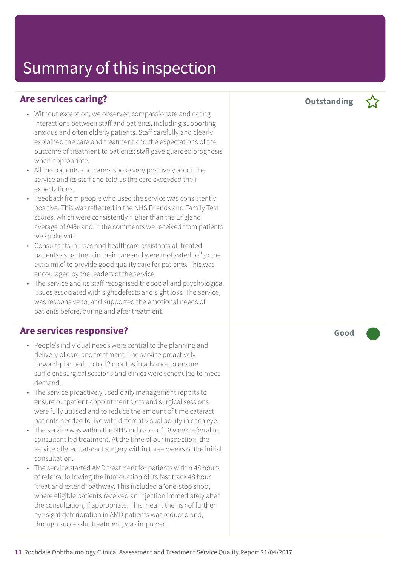### **Are services caring?**

- Without exception, we observed compassionate and caring interactions between staff and patients, including supporting anxious and often elderly patients. Staff carefully and clearly explained the care and treatment and the expectations of the outcome of treatment to patients; staff gave guarded prognosis when appropriate.
- All the patients and carers spoke very positively about the service and its staff and told us the care exceeded their expectations.
- Feedback from people who used the service was consistently positive. This was reflected in the NHS Friends and Family Test scores, which were consistently higher than the England average of 94% and in the comments we received from patients we spoke with.
- Consultants, nurses and healthcare assistants all treated patients as partners in their care and were motivated to 'go the extra mile' to provide good quality care for patients. This was encouraged by the leaders of the service.
- The service and its staff recognised the social and psychological issues associated with sight defects and sight loss. The service, was responsive to, and supported the emotional needs of patients before, during and after treatment.

### **Are services responsive?**

- People's individual needs were central to the planning and delivery of care and treatment. The service proactively forward-planned up to 12 months in advance to ensure sufficient surgical sessions and clinics were scheduled to meet demand.
- The service proactively used daily management reports to ensure outpatient appointment slots and surgical sessions were fully utilised and to reduce the amount of time cataract patients needed to live with different visual acuity in each eye.
- The service was within the NHS indicator of 18 week referral to consultant led treatment. At the time of our inspection, the service offered cataract surgery within three weeks of the initial consultation.
- The service started AMD treatment for patients within 48 hours of referral following the introduction of its fast track 48 hour 'treat and extend' pathway. This included a 'one-stop shop', where eligible patients received an injection immediately after the consultation, if appropriate. This meant the risk of further eye sight deterioration in AMD patients was reduced and, through successful treatment, was improved.

**Good –––**

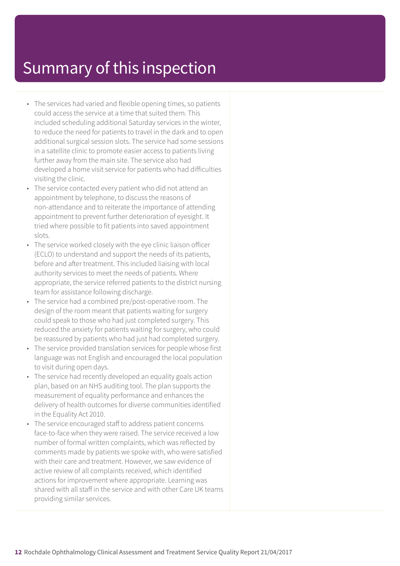- The services had varied and flexible opening times, so patients could access the service at a time that suited them. This included scheduling additional Saturday services in the winter, to reduce the need for patients to travel in the dark and to open additional surgical session slots. The service had some sessions in a satellite clinic to promote easier access to patients living further away from the main site. The service also had developed a home visit service for patients who had difficulties visiting the clinic.
- The service contacted every patient who did not attend an appointment by telephone, to discuss the reasons of non-attendance and to reiterate the importance of attending appointment to prevent further deterioration of eyesight. It tried where possible to fit patients into saved appointment slots.
- The service worked closely with the eye clinic liaison officer (ECLO) to understand and support the needs of its patients, before and after treatment. This included liaising with local authority services to meet the needs of patients. Where appropriate, the service referred patients to the district nursing team for assistance following discharge.
- The service had a combined pre/post-operative room. The design of the room meant that patients waiting for surgery could speak to those who had just completed surgery. This reduced the anxiety for patients waiting for surgery, who could be reassured by patients who had just had completed surgery.
- The service provided translation services for people whose first language was not English and encouraged the local population to visit during open days.
- The service had recently developed an equality goals action plan, based on an NHS auditing tool. The plan supports the measurement of equality performance and enhances the delivery of health outcomes for diverse communities identified in the Equality Act 2010.
- The service encouraged staff to address patient concerns face-to-face when they were raised. The service received a low number of formal written complaints, which was reflected by comments made by patients we spoke with, who were satisfied with their care and treatment. However, we saw evidence of active review of all complaints received, which identified actions for improvement where appropriate. Learning was shared with all staff in the service and with other Care UK teams providing similar services.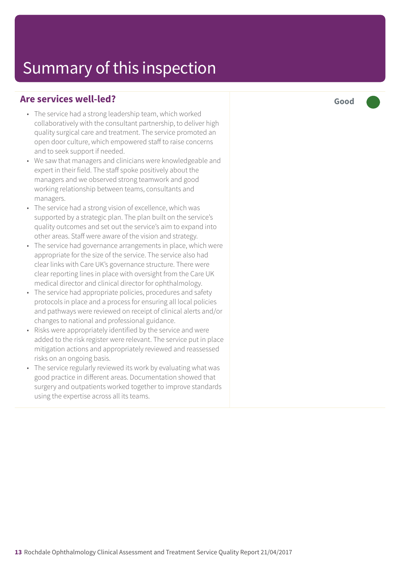### **Are services well-led?**

- The service had a strong leadership team, which worked collaboratively with the consultant partnership, to deliver high quality surgical care and treatment. The service promoted an open door culture, which empowered staff to raise concerns and to seek support if needed.
- We saw that managers and clinicians were knowledgeable and expert in their field. The staff spoke positively about the managers and we observed strong teamwork and good working relationship between teams, consultants and managers.
- The service had a strong vision of excellence, which was supported by a strategic plan. The plan built on the service's quality outcomes and set out the service's aim to expand into other areas. Staff were aware of the vision and strategy.
- The service had governance arrangements in place, which were appropriate for the size of the service. The service also had clear links with Care UK's governance structure. There were clear reporting lines in place with oversight from the Care UK medical director and clinical director for ophthalmology.
- The service had appropriate policies, procedures and safety protocols in place and a process for ensuring all local policies and pathways were reviewed on receipt of clinical alerts and/or changes to national and professional guidance.
- Risks were appropriately identified by the service and were added to the risk register were relevant. The service put in place mitigation actions and appropriately reviewed and reassessed risks on an ongoing basis.
- The service regularly reviewed its work by evaluating what was good practice in different areas. Documentation showed that surgery and outpatients worked together to improve standards using the expertise across all its teams.

**Good –––**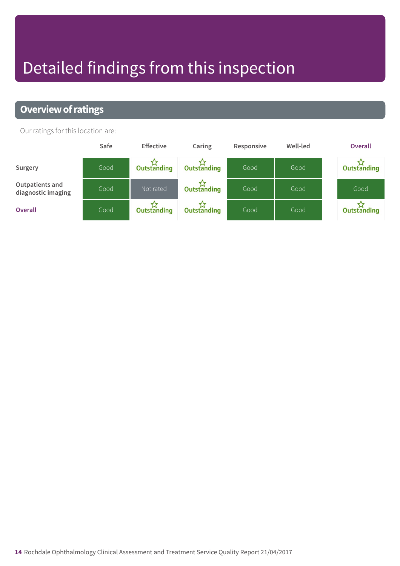# Detailed findings from this inspection

### **Overview of ratings**

Our ratings for this location are:

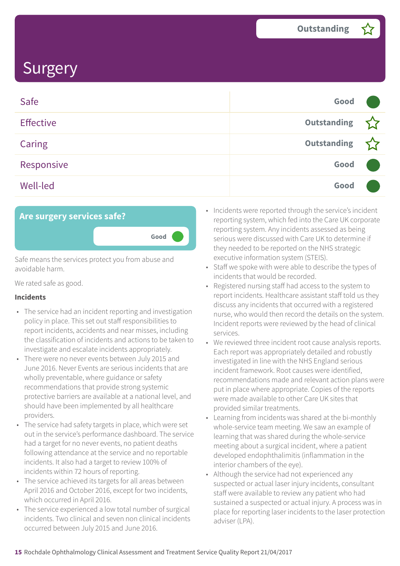| Safe             | Good               |  |
|------------------|--------------------|--|
| <b>Effective</b> | <b>Outstanding</b> |  |
| <b>Caring</b>    | <b>Outstanding</b> |  |
| Responsive       | Good               |  |
| <b>Well-led</b>  | Good               |  |



Safe means the services protect you from abuse and avoidable harm.

We rated safe as good.

#### **Incidents**

- The service had an incident reporting and investigation policy in place. This set out staff responsibilities to report incidents, accidents and near misses, including the classification of incidents and actions to be taken to investigate and escalate incidents appropriately.
- There were no never events between July 2015 and June 2016. Never Events are serious incidents that are wholly preventable, where guidance or safety recommendations that provide strong systemic protective barriers are available at a national level, and should have been implemented by all healthcare providers.
- The service had safety targets in place, which were set out in the service's performance dashboard. The service had a target for no never events, no patient deaths following attendance at the service and no reportable incidents. It also had a target to review 100% of incidents within 72 hours of reporting.
- The service achieved its targets for all areas between April 2016 and October 2016, except for two incidents, which occurred in April 2016.
- The service experienced a low total number of surgical incidents. Two clinical and seven non clinical incidents occurred between July 2015 and June 2016.
- Incidents were reported through the service's incident reporting system, which fed into the Care UK corporate reporting system. Any incidents assessed as being serious were discussed with Care UK to determine if they needed to be reported on the NHS strategic executive information system (STEIS).
- Staff we spoke with were able to describe the types of incidents that would be recorded.
- Registered nursing staff had access to the system to report incidents. Healthcare assistant staff told us they discuss any incidents that occurred with a registered nurse, who would then record the details on the system. Incident reports were reviewed by the head of clinical services.
- We reviewed three incident root cause analysis reports. Each report was appropriately detailed and robustly investigated in line with the NHS England serious incident framework. Root causes were identified, recommendations made and relevant action plans were put in place where appropriate. Copies of the reports were made available to other Care UK sites that provided similar treatments.
- Learning from incidents was shared at the bi-monthly whole-service team meeting. We saw an example of learning that was shared during the whole-service meeting about a surgical incident, where a patient developed endophthalimitis (inflammation in the interior chambers of the eye).
- Although the service had not experienced any suspected or actual laser injury incidents, consultant staff were available to review any patient who had sustained a suspected or actual injury. A process was in place for reporting laser incidents to the laser protection adviser (LPA).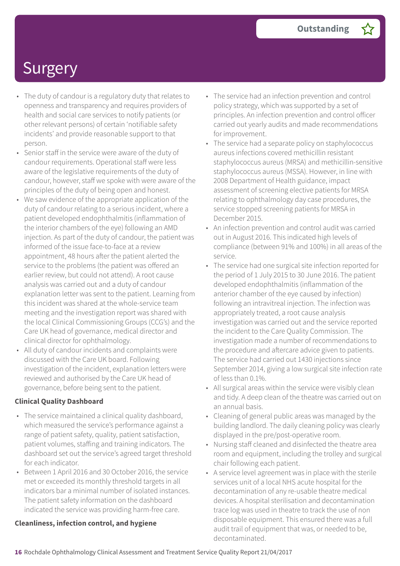- The duty of candour is a regulatory duty that relates to openness and transparency and requires providers of health and social care services to notify patients (or other relevant persons) of certain 'notifiable safety incidents' and provide reasonable support to that person.
- Senior staff in the service were aware of the duty of candour requirements. Operational staff were less aware of the legislative requirements of the duty of candour, however, staff we spoke with were aware of the principles of the duty of being open and honest.
- We saw evidence of the appropriate application of the duty of candour relating to a serious incident, where a patient developed endophthalmitis (inflammation of the interior chambers of the eye) following an AMD injection. As part of the duty of candour, the patient was informed of the issue face-to-face at a review appointment, 48 hours after the patient alerted the service to the problems (the patient was offered an earlier review, but could not attend). A root cause analysis was carried out and a duty of candour explanation letter was sent to the patient. Learning from this incident was shared at the whole-service team meeting and the investigation report was shared with the local Clinical Commissioning Groups (CCG's) and the Care UK head of governance, medical director and clinical director for ophthalmology.
- All duty of candour incidents and complaints were discussed with the Care UK board. Following investigation of the incident, explanation letters were reviewed and authorised by the Care UK head of governance, before being sent to the patient.

### **Clinical Quality Dashboard**

- The service maintained a clinical quality dashboard, which measured the service's performance against a range of patient safety, quality, patient satisfaction, patient volumes, staffing and training indicators. The dashboard set out the service's agreed target threshold for each indicator.
- Between 1 April 2016 and 30 October 2016, the service met or exceeded its monthly threshold targets in all indicators bar a minimal number of isolated instances. The patient safety information on the dashboard indicated the service was providing harm-free care.

#### **Cleanliness, infection control, and hygiene**

- The service had an infection prevention and control policy strategy, which was supported by a set of principles. An infection prevention and control officer carried out yearly audits and made recommendations for improvement.
- The service had a separate policy on staphylococcus aureus infections covered methicillin resistant staphylococcus aureus (MRSA) and methicillin-sensitive staphylococcus aureus (MSSA). However, in line with 2008 Department of Health guidance, impact assessment of screening elective patients for MRSA relating to ophthalmology day case procedures, the service stopped screening patients for MRSA in December 2015.
- An infection prevention and control audit was carried out in August 2016. This indicated high levels of compliance (between 91% and 100%) in all areas of the service.
- The service had one surgical site infection reported for the period of 1 July 2015 to 30 June 2016. The patient developed endophthalmitis (inflammation of the anterior chamber of the eye caused by infection) following an intravitreal injection. The infection was appropriately treated, a root cause analysis investigation was carried out and the service reported the incident to the Care Quality Commission. The investigation made a number of recommendations to the procedure and aftercare advice given to patients. The service had carried out 1430 injections since September 2014, giving a low surgical site infection rate of less than 0.1%.
- All surgical areas within the service were visibly clean and tidy. A deep clean of the theatre was carried out on an annual basis.
- Cleaning of general public areas was managed by the building landlord. The daily cleaning policy was clearly displayed in the pre/post-operative room.
- Nursing staff cleaned and disinfected the theatre area room and equipment, including the trolley and surgical chair following each patient.
- A service level agreement was in place with the sterile services unit of a local NHS acute hospital for the decontamination of any re-usable theatre medical devices. A hospital sterilisation and decontamination trace log was used in theatre to track the use of non disposable equipment. This ensured there was a full audit trail of equipment that was, or needed to be, decontaminated.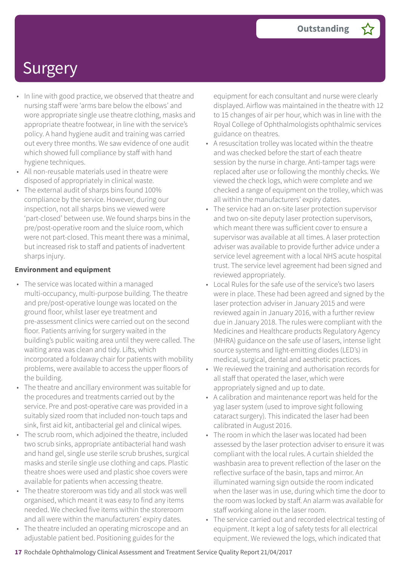- In line with good practice, we observed that theatre and nursing staff were 'arms bare below the elbows' and wore appropriate single use theatre clothing, masks and appropriate theatre footwear, in line with the service's policy. A hand hygiene audit and training was carried out every three months. We saw evidence of one audit which showed full compliance by staff with hand hygiene techniques.
- All non-reusable materials used in theatre were disposed of appropriately in clinical waste.
- The external audit of sharps bins found 100% compliance by the service. However, during our inspection, not all sharps bins we viewed were 'part-closed' between use. We found sharps bins in the pre/post-operative room and the sluice room, which were not part-closed. This meant there was a minimal, but increased risk to staff and patients of inadvertent sharps injury.

#### **Environment and equipment**

- The service was located within a managed multi-occupancy, multi-purpose building. The theatre and pre/post-operative lounge was located on the ground floor, whilst laser eye treatment and pre-assessment clinics were carried out on the second floor. Patients arriving for surgery waited in the building's public waiting area until they were called. The waiting area was clean and tidy. Lifts, which incorporated a foldaway chair for patients with mobility problems, were available to access the upper floors of the building.
- The theatre and ancillary environment was suitable for the procedures and treatments carried out by the service. Pre and post-operative care was provided in a suitably sized room that included non-touch taps and sink, first aid kit, antibacterial gel and clinical wipes.
- The scrub room, which adjoined the theatre, included two scrub sinks, appropriate antibacterial hand wash and hand gel, single use sterile scrub brushes, surgical masks and sterile single use clothing and caps. Plastic theatre shoes were used and plastic shoe covers were available for patients when accessing theatre.
- The theatre storeroom was tidy and all stock was well organised, which meant it was easy to find any items needed. We checked five items within the storeroom and all were within the manufacturers' expiry dates.
- The theatre included an operating microscope and an adjustable patient bed. Positioning guides for the

equipment for each consultant and nurse were clearly displayed. Airflow was maintained in the theatre with 12 to 15 changes of air per hour, which was in line with the Royal College of Ophthalmologists ophthalmic services guidance on theatres.

- A resuscitation trolley was located within the theatre and was checked before the start of each theatre session by the nurse in charge. Anti-tamper tags were replaced after use or following the monthly checks. We viewed the check logs, which were complete and we checked a range of equipment on the trolley, which was all within the manufacturers' expiry dates.
- The service had an on-site laser protection supervisor and two on-site deputy laser protection supervisors, which meant there was sufficient cover to ensure a supervisor was available at all times. A laser protection adviser was available to provide further advice under a service level agreement with a local NHS acute hospital trust. The service level agreement had been signed and reviewed appropriately.
- Local Rules for the safe use of the service's two lasers were in place. These had been agreed and signed by the laser protection adviser in January 2015 and were reviewed again in January 2016, with a further review due in January 2018. The rules were compliant with the Medicines and Healthcare products Regulatory Agency (MHRA) guidance on the safe use of lasers, intense light source systems and light-emitting diodes (LED's) in medical, surgical, dental and aesthetic practices.
- We reviewed the training and authorisation records for all staff that operated the laser, which were appropriately signed and up to date.
- A calibration and maintenance report was held for the yag laser system (used to improve sight following cataract surgery). This indicated the laser had been calibrated in August 2016.
- The room in which the laser was located had been assessed by the laser protection adviser to ensure it was compliant with the local rules. A curtain shielded the washbasin area to prevent reflection of the laser on the reflective surface of the basin, taps and mirror. An illuminated warning sign outside the room indicated when the laser was in use, during which time the door to the room was locked by staff. An alarm was available for staff working alone in the laser room.
- The service carried out and recorded electrical testing of equipment. It kept a log of safety tests for all electrical equipment. We reviewed the logs, which indicated that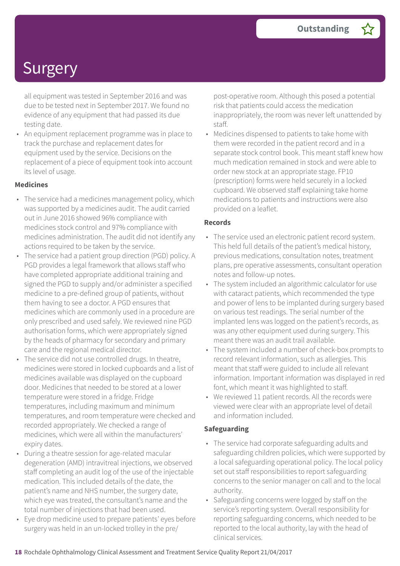all equipment was tested in September 2016 and was due to be tested next in September 2017. We found no evidence of any equipment that had passed its due testing date.

• An equipment replacement programme was in place to track the purchase and replacement dates for equipment used by the service. Decisions on the replacement of a piece of equipment took into account its level of usage.

#### **Medicines**

- The service had a medicines management policy, which was supported by a medicines audit. The audit carried out in June 2016 showed 96% compliance with medicines stock control and 97% compliance with medicines administration. The audit did not identify any actions required to be taken by the service.
- The service had a patient group direction (PGD) policy. A PGD provides a legal framework that allows staff who have completed appropriate additional training and signed the PGD to supply and/or administer a specified medicine to a pre-defined group of patients, without them having to see a doctor. A PGD ensures that medicines which are commonly used in a procedure are only prescribed and used safely. We reviewed nine PGD authorisation forms, which were appropriately signed by the heads of pharmacy for secondary and primary care and the regional medical director.
- The service did not use controlled drugs. In theatre, medicines were stored in locked cupboards and a list of medicines available was displayed on the cupboard door. Medicines that needed to be stored at a lower temperature were stored in a fridge. Fridge temperatures, including maximum and minimum temperatures, and room temperature were checked and recorded appropriately. We checked a range of medicines, which were all within the manufacturers' expiry dates.
- During a theatre session for age-related macular degeneration (AMD) intravitreal injections, we observed staff completing an audit log of the use of the injectable medication. This included details of the date, the patient's name and NHS number, the surgery date, which eye was treated, the consultant's name and the total number of injections that had been used.
- Eye drop medicine used to prepare patients' eyes before surgery was held in an un-locked trolley in the pre/

post-operative room. Although this posed a potential risk that patients could access the medication inappropriately, the room was never left unattended by staff.

• Medicines dispensed to patients to take home with them were recorded in the patient record and in a separate stock control book. This meant staff knew how much medication remained in stock and were able to order new stock at an appropriate stage. FP10 (prescription) forms were held securely in a locked cupboard. We observed staff explaining take home medications to patients and instructions were also provided on a leaflet.

#### **Records**

- The service used an electronic patient record system. This held full details of the patient's medical history, previous medications, consultation notes, treatment plans, pre operative assessments, consultant operation notes and follow-up notes.
- The system included an algorithmic calculator for use with cataract patients, which recommended the type and power of lens to be implanted during surgery based on various test readings. The serial number of the implanted lens was logged on the patient's records, as was any other equipment used during surgery. This meant there was an audit trail available.
- The system included a number of check-box prompts to record relevant information, such as allergies. This meant that staff were guided to include all relevant information. Important information was displayed in red font, which meant it was highlighted to staff.
- We reviewed 11 patient records. All the records were viewed were clear with an appropriate level of detail and information included.

#### **Safeguarding**

- The service had corporate safeguarding adults and safeguarding children policies, which were supported by a local safeguarding operational policy. The local policy set out staff responsibilities to report safeguarding concerns to the senior manager on call and to the local authority.
- Safeguarding concerns were logged by staff on the service's reporting system. Overall responsibility for reporting safeguarding concerns, which needed to be reported to the local authority, lay with the head of clinical services.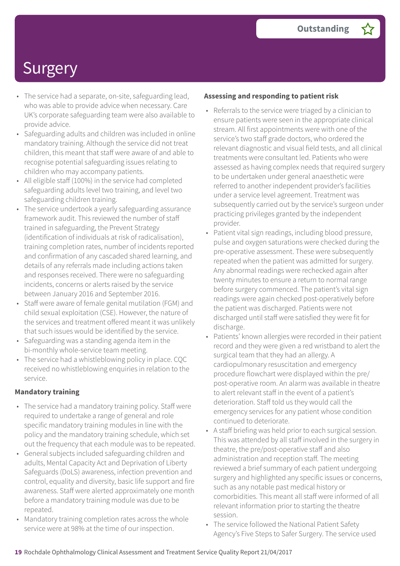- The service had a separate, on-site, safeguarding lead, who was able to provide advice when necessary. Care UK's corporate safeguarding team were also available to provide advice.
- Safeguarding adults and children was included in online mandatory training. Although the service did not treat children, this meant that staff were aware of and able to recognise potential safeguarding issues relating to children who may accompany patients.
- All eligible staff (100%) in the service had completed safeguarding adults level two training, and level two safeguarding children training.
- The service undertook a yearly safeguarding assurance framework audit. This reviewed the number of staff trained in safeguarding, the Prevent Strategy (identification of individuals at risk of radicalisation), training completion rates, number of incidents reported and confirmation of any cascaded shared learning, and details of any referrals made including actions taken and responses received. There were no safeguarding incidents, concerns or alerts raised by the service between January 2016 and September 2016.
- Staff were aware of female genital mutilation (FGM) and child sexual exploitation (CSE). However, the nature of the services and treatment offered meant it was unlikely that such issues would be identified by the service.
- Safeguarding was a standing agenda item in the bi-monthly whole-service team meeting.
- The service had a whistleblowing policy in place. CQC received no whistleblowing enquiries in relation to the service.

### **Mandatory training**

- The service had a mandatory training policy. Staff were required to undertake a range of general and role specific mandatory training modules in line with the policy and the mandatory training schedule, which set out the frequency that each module was to be repeated.
- General subjects included safeguarding children and adults, Mental Capacity Act and Deprivation of Liberty Safeguards (DoLS) awareness, infection prevention and control, equality and diversity, basic life support and fire awareness. Staff were alerted approximately one month before a mandatory training module was due to be repeated.
- Mandatory training completion rates across the whole service were at 98% at the time of our inspection.

#### **Assessing and responding to patient risk**

- Referrals to the service were triaged by a clinician to ensure patients were seen in the appropriate clinical stream. All first appointments were with one of the service's two staff grade doctors, who ordered the relevant diagnostic and visual field tests, and all clinical treatments were consultant led. Patients who were assessed as having complex needs that required surgery to be undertaken under general anaesthetic were referred to another independent provider's facilities under a service level agreement. Treatment was subsequently carried out by the service's surgeon under practicing privileges granted by the independent provider.
- Patient vital sign readings, including blood pressure, pulse and oxygen saturations were checked during the pre-operative assessment. These were subsequently repeated when the patient was admitted for surgery. Any abnormal readings were rechecked again after twenty minutes to ensure a return to normal range before surgery commenced. The patient's vital sign readings were again checked post-operatively before the patient was discharged. Patients were not discharged until staff were satisfied they were fit for discharge.
- Patients' known allergies were recorded in their patient record and they were given a red wristband to alert the surgical team that they had an allergy. A cardiopulmonary resuscitation and emergency procedure flowchart were displayed within the pre/ post-operative room. An alarm was available in theatre to alert relevant staff in the event of a patient's deterioration. Staff told us they would call the emergency services for any patient whose condition continued to deteriorate.
- A staff briefing was held prior to each surgical session. This was attended by all staff involved in the surgery in theatre, the pre/post-operative staff and also administration and reception staff. The meeting reviewed a brief summary of each patient undergoing surgery and highlighted any specific issues or concerns, such as any notable past medical history or comorbidities. This meant all staff were informed of all relevant information prior to starting the theatre session.
- The service followed the National Patient Safety Agency's Five Steps to Safer Surgery. The service used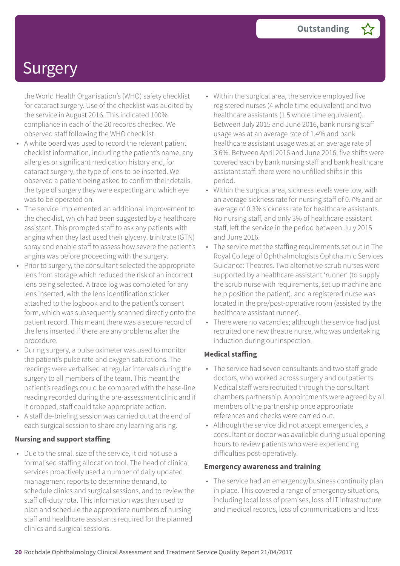the World Health Organisation's (WHO) safety checklist for cataract surgery. Use of the checklist was audited by the service in August 2016. This indicated 100% compliance in each of the 20 records checked. We observed staff following the WHO checklist.

- A white board was used to record the relevant patient checklist information, including the patient's name, any allergies or significant medication history and, for cataract surgery, the type of lens to be inserted. We observed a patient being asked to confirm their details, the type of surgery they were expecting and which eye was to be operated on.
- The service implemented an additional improvement to the checklist, which had been suggested by a healthcare assistant. This prompted staff to ask any patients with angina when they last used their glyceryl trinitrate (GTN) spray and enable staff to assess how severe the patient's angina was before proceeding with the surgery.
- Prior to surgery, the consultant selected the appropriate lens from storage which reduced the risk of an incorrect lens being selected. A trace log was completed for any lens inserted, with the lens identification sticker attached to the logbook and to the patient's consent form, which was subsequently scanned directly onto the patient record. This meant there was a secure record of the lens inserted if there are any problems after the procedure.
- During surgery, a pulse oximeter was used to monitor the patient's pulse rate and oxygen saturations. The readings were verbalised at regular intervals during the surgery to all members of the team. This meant the patient's readings could be compared with the base-line reading recorded during the pre-assessment clinic and if it dropped, staff could take appropriate action.
- A staff de-briefing session was carried out at the end of each surgical session to share any learning arising.

### **Nursing and support staffing**

• Due to the small size of the service, it did not use a formalised staffing allocation tool. The head of clinical services proactively used a number of daily updated management reports to determine demand, to schedule clinics and surgical sessions, and to review the staff off-duty rota. This information was then used to plan and schedule the appropriate numbers of nursing staff and healthcare assistants required for the planned clinics and surgical sessions.

- Within the surgical area, the service employed five registered nurses (4 whole time equivalent) and two healthcare assistants (1.5 whole time equivalent). Between July 2015 and June 2016, bank nursing staff usage was at an average rate of 1.4% and bank healthcare assistant usage was at an average rate of 3.6%. Between April 2016 and June 2016, five shifts were covered each by bank nursing staff and bank healthcare assistant staff; there were no unfilled shifts in this period.
- Within the surgical area, sickness levels were low, with an average sickness rate for nursing staff of 0.7% and an average of 0.3% sickness rate for healthcare assistants. No nursing staff, and only 3% of healthcare assistant staff, left the service in the period between July 2015 and June 2016.
- The service met the staffing requirements set out in The Royal College of Ophthalmologists Ophthalmic Services Guidance: Theatres. Two alternative scrub nurses were supported by a healthcare assistant 'runner' (to supply the scrub nurse with requirements, set up machine and help position the patient), and a registered nurse was located in the pre/post-operative room (assisted by the healthcare assistant runner).
- There were no vacancies; although the service had just recruited one new theatre nurse, who was undertaking induction during our inspection.

### **Medical staffing**

- The service had seven consultants and two staff grade doctors, who worked across surgery and outpatients. Medical staff were recruited through the consultant chambers partnership. Appointments were agreed by all members of the partnership once appropriate references and checks were carried out.
- Although the service did not accept emergencies, a consultant or doctor was available during usual opening hours to review patients who were experiencing difficulties post-operatively.

#### **Emergency awareness and training**

• The service had an emergency/business continuity plan in place. This covered a range of emergency situations, including local loss of premises, loss of IT infrastructure and medical records, loss of communications and loss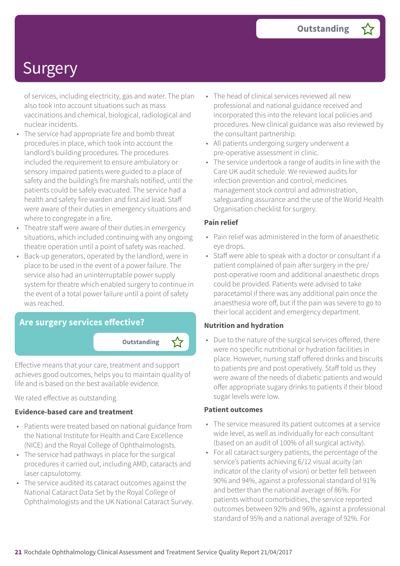of services, including electricity, gas and water. The plan also took into account situations such as mass vaccinations and chemical, biological, radiological and nuclear incidents.

- The service had appropriate fire and bomb threat procedures in place, which took into account the landlord's building procedures. The procedures included the requirement to ensure ambulatory or sensory impaired patients were guided to a place of safety and the building's fire marshals notified, until the patients could be safely evacuated. The service had a health and safety fire warden and first aid lead. Staff were aware of their duties in emergency situations and where to congregate in a fire.
- Theatre staff were aware of their duties in emergency situations, which included continuing with any ongoing theatre operation until a point of safety was reached.
- Back-up generators, operated by the landlord, were in place to be used in the event of a power failure. The service also had an uninterruptable power supply system for theatre which enabled surgery to continue in the event of a total power failure until a point of safety was reached.

### **Are surgery services effective?**

**Outstanding –**

Effective means that your care, treatment and support achieves good outcomes, helps you to maintain quality of life and is based on the best available evidence.

We rated effective as outstanding.

#### **Evidence-based care and treatment**

- Patients were treated based on national guidance from the National Institute for Health and Care Excellence (NICE) and the Royal College of Ophthalmologists.
- The service had pathways in place for the surgical procedures it carried out, including AMD, cataracts and laser capsulotomy.
- The service audited its cataract outcomes against the National Cataract Data Set by the Royal College of Ophthalmologists and the UK National Cataract Survey.
- The head of clinical services reviewed all new professional and national guidance received and incorporated this into the relevant local policies and procedures. New clinical guidance was also reviewed by the consultant partnership.
- All patients undergoing surgery underwent a pre-operative assessment in clinic.
- The service undertook a range of audits in line with the Care UK audit schedule. We reviewed audits for infection prevention and control, medicines management stock control and administration, safeguarding assurance and the use of the World Health Organisation checklist for surgery.

### **Pain relief**

- Pain relief was administered in the form of anaesthetic eye drops.
- Staff were able to speak with a doctor or consultant if a patient complained of pain after surgery in the pre/ post-operative room and additional anaesthetic drops could be provided. Patients were advised to take paracetamol if there was any additional pain once the anaesthesia wore off, but if the pain was severe to go to their local accident and emergency department.

### **Nutrition and hydration**

• Due to the nature of the surgical services offered, there were no specific nutritional or hydration facilities in place. However, nursing staff offered drinks and biscuits to patients pre and post operatively. Staff told us they were aware of the needs of diabetic patients and would offer appropriate sugary drinks to patients if their blood sugar levels were low.

#### **Patient outcomes**

- The service measured its patient outcomes at a service wide level, as well as individually for each consultant (based on an audit of 100% of all surgical activity).
- For all cataract surgery patients, the percentage of the service's patients achieving 6/12 visual acuity (an indicator of the clarity of vision) or better fell between 90% and 94%, against a professional standard of 91% and better than the national average of 86%. For patients without comorbidities, the service reported outcomes between 92% and 96%, against a professional standard of 95% and a national average of 92%. For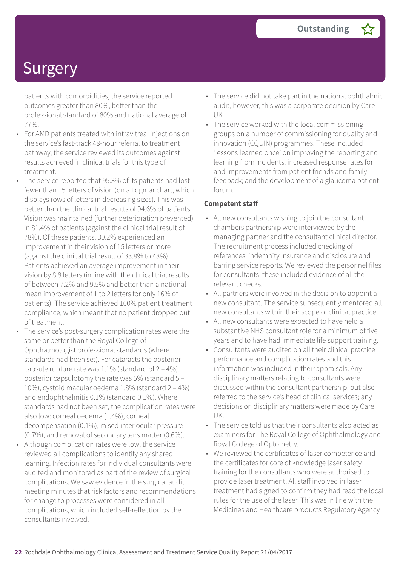patients with comorbidities, the service reported outcomes greater than 80%, better than the professional standard of 80% and national average of 77%.

- For AMD patients treated with intravitreal injections on the service's fast-track 48-hour referral to treatment pathway, the service reviewed its outcomes against results achieved in clinical trials for this type of treatment.
- The service reported that 95.3% of its patients had lost fewer than 15 letters of vision (on a Logmar chart, which displays rows of letters in decreasing sizes). This was better than the clinical trial results of 94.6% of patients. Vision was maintained (further deterioration prevented) in 81.4% of patients (against the clinical trial result of 78%). Of these patients, 30.2% experienced an improvement in their vision of 15 letters or more (against the clinical trial result of 33.8% to 43%). Patients achieved an average improvement in their vision by 8.8 letters (in line with the clinical trial results of between 7.2% and 9.5% and better than a national mean improvement of 1 to 2 letters for only 16% of patients). The service achieved 100% patient treatment compliance, which meant that no patient dropped out of treatment.
- The service's post-surgery complication rates were the same or better than the Royal College of Ophthalmologist professional standards (where standards had been set). For cataracts the posterior capsule rupture rate was 1.1% (standard of  $2 - 4\%$ ), posterior capsulotomy the rate was 5% (standard 5 – 10%), cystoid macular oedema 1.8% (standard 2 – 4%) and endophthalmitis 0.1% (standard 0.1%). Where standards had not been set, the complication rates were also low: corneal oedema (1.4%), corneal decompensation (0.1%), raised inter ocular pressure (0.7%), and removal of secondary lens matter (0.6%).
- Although complication rates were low, the service reviewed all complications to identify any shared learning. Infection rates for individual consultants were audited and monitored as part of the review of surgical complications. We saw evidence in the surgical audit meeting minutes that risk factors and recommendations for change to processes were considered in all complications, which included self-reflection by the consultants involved.
- The service did not take part in the national ophthalmic audit, however, this was a corporate decision by Care UK.
- The service worked with the local commissioning groups on a number of commissioning for quality and innovation (CQUIN) programmes. These included 'lessons learned once' on improving the reporting and learning from incidents; increased response rates for and improvements from patient friends and family feedback; and the development of a glaucoma patient forum.

#### **Competent staff**

- All new consultants wishing to join the consultant chambers partnership were interviewed by the managing partner and the consultant clinical director. The recruitment process included checking of references, indemnity insurance and disclosure and barring service reports. We reviewed the personnel files for consultants; these included evidence of all the relevant checks.
- All partners were involved in the decision to appoint a new consultant. The service subsequently mentored all new consultants within their scope of clinical practice.
- All new consultants were expected to have held a substantive NHS consultant role for a minimum of five years and to have had immediate life support training.
- Consultants were audited on all their clinical practice performance and complication rates and this information was included in their appraisals. Any disciplinary matters relating to consultants were discussed within the consultant partnership, but also referred to the service's head of clinical services; any decisions on disciplinary matters were made by Care UK.
- The service told us that their consultants also acted as examiners for The Royal College of Ophthalmology and Royal College of Optometry.
- We reviewed the certificates of laser competence and the certificates for core of knowledge laser safety training for the consultants who were authorised to provide laser treatment. All staff involved in laser treatment had signed to confirm they had read the local rules for the use of the laser. This was in line with the Medicines and Healthcare products Regulatory Agency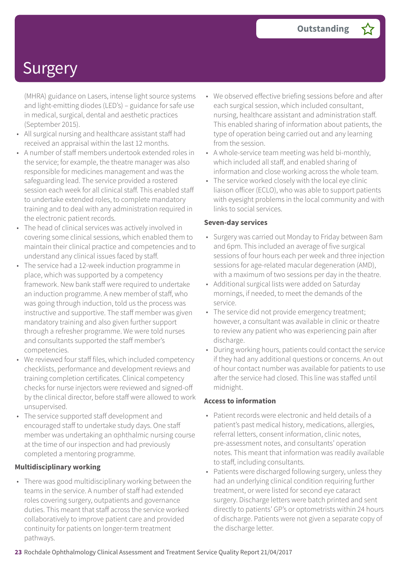(MHRA) guidance on Lasers, intense light source systems and light-emitting diodes (LED's) – guidance for safe use in medical, surgical, dental and aesthetic practices (September 2015).

- All surgical nursing and healthcare assistant staff had received an appraisal within the last 12 months.
- A number of staff members undertook extended roles in the service; for example, the theatre manager was also responsible for medicines management and was the safeguarding lead. The service provided a rostered session each week for all clinical staff. This enabled staff to undertake extended roles, to complete mandatory training and to deal with any administration required in the electronic patient records.
- The head of clinical services was actively involved in covering some clinical sessions, which enabled them to maintain their clinical practice and competencies and to understand any clinical issues faced by staff.
- The service had a 12-week induction programme in place, which was supported by a competency framework. New bank staff were required to undertake an induction programme. A new member of staff, who was going through induction, told us the process was instructive and supportive. The staff member was given mandatory training and also given further support through a refresher programme. We were told nurses and consultants supported the staff member's competencies.
- We reviewed four staff files, which included competency checklists, performance and development reviews and training completion certificates. Clinical competency checks for nurse injectors were reviewed and signed-off by the clinical director, before staff were allowed to work unsupervised.
- The service supported staff development and encouraged staff to undertake study days. One staff member was undertaking an ophthalmic nursing course at the time of our inspection and had previously completed a mentoring programme.

### **Multidisciplinary working**

• There was good multidisciplinary working between the teams in the service. A number of staff had extended roles covering surgery, outpatients and governance duties. This meant that staff across the service worked collaboratively to improve patient care and provided continuity for patients on longer-term treatment pathways.

- We observed effective briefing sessions before and after each surgical session, which included consultant, nursing, healthcare assistant and administration staff. This enabled sharing of information about patients, the type of operation being carried out and any learning from the session.
- A whole-service team meeting was held bi-monthly, which included all staff, and enabled sharing of information and close working across the whole team.
- The service worked closely with the local eye clinic liaison officer (ECLO), who was able to support patients with eyesight problems in the local community and with links to social services.

#### **Seven-day services**

- Surgery was carried out Monday to Friday between 8am and 6pm. This included an average of five surgical sessions of four hours each per week and three injection sessions for age-related macular degeneration (AMD), with a maximum of two sessions per day in the theatre.
- Additional surgical lists were added on Saturday mornings, if needed, to meet the demands of the service.
- The service did not provide emergency treatment; however, a consultant was available in clinic or theatre to review any patient who was experiencing pain after discharge.
- During working hours, patients could contact the service if they had any additional questions or concerns. An out of hour contact number was available for patients to use after the service had closed. This line was staffed until midnight.

#### **Access to information**

- Patient records were electronic and held details of a patient's past medical history, medications, allergies, referral letters, consent information, clinic notes, pre-assessment notes, and consultants' operation notes. This meant that information was readily available to staff, including consultants.
- Patients were discharged following surgery, unless they had an underlying clinical condition requiring further treatment, or were listed for second eye cataract surgery. Discharge letters were batch printed and sent directly to patients' GP's or optometrists within 24 hours of discharge. Patients were not given a separate copy of the discharge letter.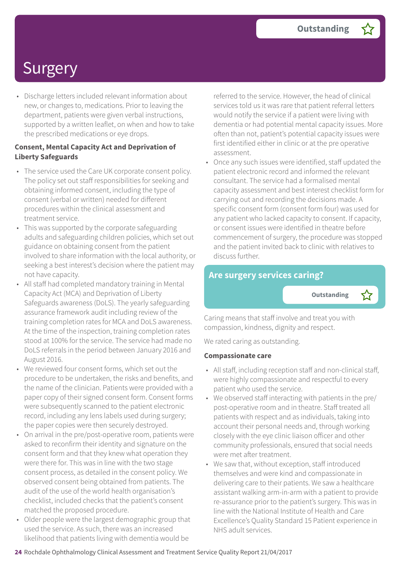• Discharge letters included relevant information about new, or changes to, medications. Prior to leaving the department, patients were given verbal instructions, supported by a written leaflet, on when and how to take the prescribed medications or eye drops.

#### **Consent, Mental Capacity Act and Deprivation of Liberty Safeguards**

- The service used the Care UK corporate consent policy. The policy set out staff responsibilities for seeking and obtaining informed consent, including the type of consent (verbal or written) needed for different procedures within the clinical assessment and treatment service.
- This was supported by the corporate safeguarding adults and safeguarding children policies, which set out guidance on obtaining consent from the patient involved to share information with the local authority, or seeking a best interest's decision where the patient may not have capacity.
- All staff had completed mandatory training in Mental Capacity Act (MCA) and Deprivation of Liberty Safeguards awareness (DoLS). The yearly safeguarding assurance framework audit including review of the training completion rates for MCA and DoLS awareness. At the time of the inspection, training completion rates stood at 100% for the service. The service had made no DoLS referrals in the period between January 2016 and August 2016.
- We reviewed four consent forms, which set out the procedure to be undertaken, the risks and benefits, and the name of the clinician. Patients were provided with a paper copy of their signed consent form. Consent forms were subsequently scanned to the patient electronic record, including any lens labels used during surgery; the paper copies were then securely destroyed.
- On arrival in the pre/post-operative room, patients were asked to reconfirm their identity and signature on the consent form and that they knew what operation they were there for. This was in line with the two stage consent process, as detailed in the consent policy. We observed consent being obtained from patients. The audit of the use of the world health organisation's checklist, included checks that the patient's consent matched the proposed procedure.
- Older people were the largest demographic group that used the service. As such, there was an increased likelihood that patients living with dementia would be

referred to the service. However, the head of clinical services told us it was rare that patient referral letters would notify the service if a patient were living with dementia or had potential mental capacity issues. More often than not, patient's potential capacity issues were first identified either in clinic or at the pre operative assessment.

• Once any such issues were identified, staff updated the patient electronic record and informed the relevant consultant. The service had a formalised mental capacity assessment and best interest checklist form for carrying out and recording the decisions made. A specific consent form (consent form four) was used for any patient who lacked capacity to consent. If capacity, or consent issues were identified in theatre before commencement of surgery, the procedure was stopped and the patient invited back to clinic with relatives to discuss further.

### **Are surgery services caring?**

**Outstanding –**

Caring means that staff involve and treat you with compassion, kindness, dignity and respect.

We rated caring as outstanding.

#### **Compassionate care**

- All staff, including reception staff and non-clinical staff, were highly compassionate and respectful to every patient who used the service.
- We observed staff interacting with patients in the pre/ post-operative room and in theatre. Staff treated all patients with respect and as individuals, taking into account their personal needs and, through working closely with the eye clinic liaison officer and other community professionals, ensured that social needs were met after treatment.
- We saw that, without exception, staff introduced themselves and were kind and compassionate in delivering care to their patients. We saw a healthcare assistant walking arm-in-arm with a patient to provide re-assurance prior to the patient's surgery. This was in line with the National Institute of Health and Care Excellence's Quality Standard 15 Patient experience in NHS adult services.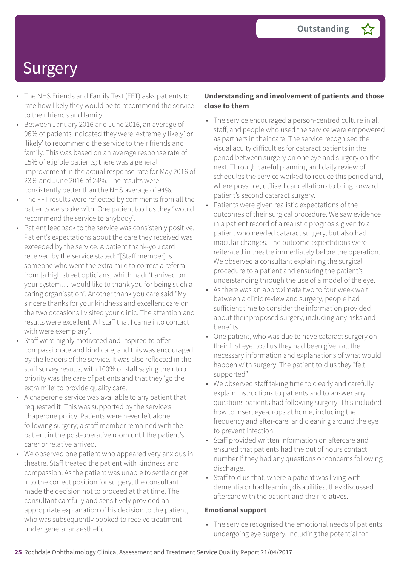- The NHS Friends and Family Test (FFT) asks patients to rate how likely they would be to recommend the service to their friends and family.
- Between January 2016 and June 2016, an average of 96% of patients indicated they were 'extremely likely' or 'likely' to recommend the service to their friends and family. This was based on an average response rate of 15% of eligible patients; there was a general improvement in the actual response rate for May 2016 of 23% and June 2016 of 24%. The results were consistently better than the NHS average of 94%.
- The FFT results were reflected by comments from all the patients we spoke with. One patient told us they "would recommend the service to anybody".
- Patient feedback to the service was consistenly positive. Patient's expectations about the care they received was exceeded by the service. A patient thank-you card received by the service stated: "[Staff member] is someone who went the extra mile to correct a referral from [a high street opticians] which hadn't arrived on your system…I would like to thank you for being such a caring organisation". Another thank you care said "My sincere thanks for your kindness and excellent care on the two occasions I visited your clinic. The attention and results were excellent. All staff that I came into contact with were exemplary".
- Staff were highly motivated and inspired to offer compassionate and kind care, and this was encouraged by the leaders of the service. It was also reflected in the staff survey results, with 100% of staff saying their top priority was the care of patients and that they 'go the extra mile' to provide quality care.
- A chaperone service was available to any patient that requested it. This was supported by the service's chaperone policy. Patients were never left alone following surgery; a staff member remained with the patient in the post-operative room until the patient's carer or relative arrived.
- We observed one patient who appeared very anxious in theatre. Staff treated the patient with kindness and compassion. As the patient was unable to settle or get into the correct position for surgery, the consultant made the decision not to proceed at that time. The consultant carefully and sensitively provided an appropriate explanation of his decision to the patient, who was subsequently booked to receive treatment under general anaesthetic.

### **Understanding and involvement of patients and those close to them**

- The service encouraged a person-centred culture in all staff, and people who used the service were empowered as partners in their care. The service recognised the visual acuity difficulties for cataract patients in the period between surgery on one eye and surgery on the next. Through careful planning and daily review of schedules the service worked to reduce this period and, where possible, utilised cancellations to bring forward patient's second cataract surgery.
- Patients were given realistic expectations of the outcomes of their surgical procedure. We saw evidence in a patient record of a realistic prognosis given to a patient who needed cataract surgery, but also had macular changes. The outcome expectations were reiterated in theatre immediately before the operation. We observed a consultant explaining the surgical procedure to a patient and ensuring the patient's understanding through the use of a model of the eye.
- As there was an approximate two to four week wait between a clinic review and surgery, people had sufficient time to consider the information provided about their proposed surgery, including any risks and benefits.
- One patient, who was due to have cataract surgery on their first eye, told us they had been given all the necessary information and explanations of what would happen with surgery. The patient told us they "felt supported".
- We observed staff taking time to clearly and carefully explain instructions to patients and to answer any questions patients had following surgery. This included how to insert eye-drops at home, including the frequency and after-care, and cleaning around the eye to prevent infection.
- Staff provided written information on aftercare and ensured that patients had the out of hours contact number if they had any questions or concerns following discharge.
- Staff told us that, where a patient was living with dementia or had learning disabilities, they discussed aftercare with the patient and their relatives.

#### **Emotional support**

• The service recognised the emotional needs of patients undergoing eye surgery, including the potential for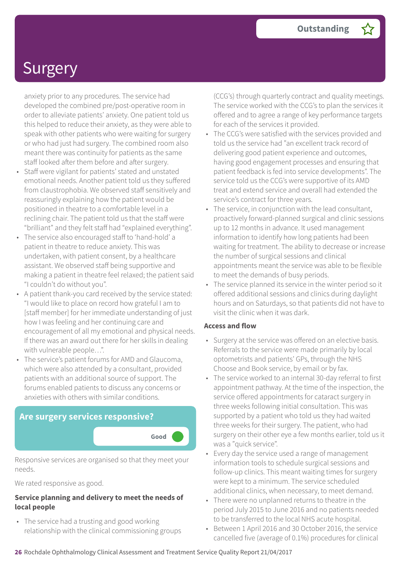anxiety prior to any procedures. The service had developed the combined pre/post-operative room in order to alleviate patients' anxiety. One patient told us this helped to reduce their anxiety, as they were able to speak with other patients who were waiting for surgery or who had just had surgery. The combined room also meant there was continuity for patients as the same staff looked after them before and after surgery.

- Staff were vigilant for patients' stated and unstated emotional needs. Another patient told us they suffered from claustrophobia. We observed staff sensitively and reassuringly explaining how the patient would be positioned in theatre to a comfortable level in a reclining chair. The patient told us that the staff were "brilliant" and they felt staff had "explained everything".
- The service also encouraged staff to 'hand-hold' a patient in theatre to reduce anxiety. This was undertaken, with patient consent, by a healthcare assistant. We observed staff being supportive and making a patient in theatre feel relaxed; the patient said "I couldn't do without you".
- A patient thank-you card received by the service stated: "I would like to place on record how grateful I am to [staff member] for her immediate understanding of just how I was feeling and her continuing care and encouragement of all my emotional and physical needs. If there was an award out there for her skills in dealing with vulnerable people…".
- The service's patient forums for AMD and Glaucoma, which were also attended by a consultant, provided patients with an additional source of support. The forums enabled patients to discuss any concerns or anxieties with others with similar conditions.

# **Are surgery services responsive? Good –––**

Responsive services are organised so that they meet your needs.

We rated responsive as good.

#### **Service planning and delivery to meet the needs of local people**

• The service had a trusting and good working relationship with the clinical commissioning groups (CCG's) through quarterly contract and quality meetings. The service worked with the CCG's to plan the services it offered and to agree a range of key performance targets for each of the services it provided.

- The CCG's were satisfied with the services provided and told us the service had "an excellent track record of delivering good patient experience and outcomes, having good engagement processes and ensuring that patient feedback is fed into service developments". The service told us the CCG's were supportive of its AMD treat and extend service and overall had extended the service's contract for three years.
- The service, in conjunction with the lead consultant, proactively forward-planned surgical and clinic sessions up to 12 months in advance. It used management information to identify how long patients had been waiting for treatment. The ability to decrease or increase the number of surgical sessions and clinical appointments meant the service was able to be flexible to meet the demands of busy periods.
- The service planned its service in the winter period so it offered additional sessions and clinics during daylight hours and on Saturdays, so that patients did not have to visit the clinic when it was dark.

#### **Access and flow**

- Surgery at the service was offered on an elective basis. Referrals to the service were made primarily by local optometrists and patients' GPs, through the NHS Choose and Book service, by email or by fax.
- The service worked to an internal 30-day referral to first appointment pathway. At the time of the inspection, the service offered appointments for cataract surgery in three weeks following initial consultation. This was supported by a patient who told us they had waited three weeks for their surgery. The patient, who had surgery on their other eye a few months earlier, told us it was a "quick service".
- Every day the service used a range of management information tools to schedule surgical sessions and follow-up clinics. This meant waiting times for surgery were kept to a minimum. The service scheduled additional clinics, when necessary, to meet demand.
- There were no unplanned returns to theatre in the period July 2015 to June 2016 and no patients needed to be transferred to the local NHS acute hospital.
- Between 1 April 2016 and 30 October 2016, the service cancelled five (average of 0.1%) procedures for clinical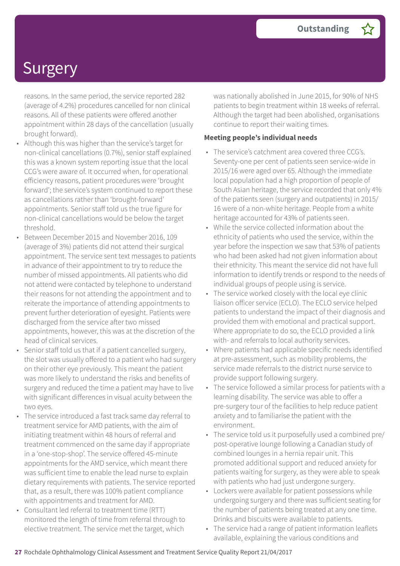reasons. In the same period, the service reported 282 (average of 4.2%) procedures cancelled for non clinical reasons. All of these patients were offered another appointment within 28 days of the cancellation (usually brought forward).

- Although this was higher than the service's target for non-clinical cancellations (0.7%), senior staff explained this was a known system reporting issue that the local CCG's were aware of. It occurred when, for operational efficiency reasons, patient procedures were 'brought forward'; the service's system continued to report these as cancellations rather than 'brought-forward' appointments. Senior staff told us the true figure for non-clinical cancellations would be below the target threshold.
- Between December 2015 and November 2016, 109 (average of 3%) patients did not attend their surgical appointment. The service sent text messages to patients in advance of their appointment to try to reduce the number of missed appointments. All patients who did not attend were contacted by telephone to understand their reasons for not attending the appointment and to reiterate the importance of attending appointments to prevent further deterioration of eyesight. Patients were discharged from the service after two missed appointments, however, this was at the discretion of the head of clinical services.
- Senior staff told us that if a patient cancelled surgery, the slot was usually offered to a patient who had surgery on their other eye previously. This meant the patient was more likely to understand the risks and benefits of surgery and reduced the time a patient may have to live with significant differences in visual acuity between the two eyes.
- The service introduced a fast track same day referral to treatment service for AMD patients, with the aim of initiating treatment within 48 hours of referral and treatment commenced on the same day if appropriate in a 'one-stop-shop'. The service offered 45-minute appointments for the AMD service, which meant there was sufficient time to enable the lead nurse to explain dietary requirements with patients. The service reported that, as a result, there was 100% patient compliance with appointments and treatment for AMD.
- Consultant led referral to treatment time (RTT) monitored the length of time from referral through to elective treatment. The service met the target, which

was nationally abolished in June 2015, for 90% of NHS patients to begin treatment within 18 weeks of referral. Although the target had been abolished, organisations continue to report their waiting times.

#### **Meeting people's individual needs**

- The service's catchment area covered three CCG's. Seventy-one per cent of patients seen service-wide in 2015/16 were aged over 65. Although the immediate local population had a high proportion of people of South Asian heritage, the service recorded that only 4% of the patients seen (surgery and outpatients) in 2015/ 16 were of a non-white heritage. People from a white heritage accounted for 43% of patients seen.
- While the service collected information about the ethnicity of patients who used the service, within the year before the inspection we saw that 53% of patients who had been asked had not given information about their ethnicity. This meant the service did not have full information to identify trends or respond to the needs of individual groups of people using is service.
- The service worked closely with the local eye clinic liaison officer service (ECLO). The ECLO service helped patients to understand the impact of their diagnosis and provided them with emotional and practical support. Where appropriate to do so, the ECLO provided a link with- and referrals to local authority services.
- Where patients had applicable specific needs identified at pre-assessment, such as mobility problems, the service made referrals to the district nurse service to provide support following surgery.
- The service followed a similar process for patients with a learning disability. The service was able to offer a pre-surgery tour of the facilities to help reduce patient anxiety and to familiarise the patient with the environment.
- The service told us it purposefully used a combined pre/ post-operative lounge following a Canadian study of combined lounges in a hernia repair unit. This promoted additional support and reduced anxiety for patients waiting for surgery, as they were able to speak with patients who had just undergone surgery.
- Lockers were available for patient possessions while undergoing surgery and there was sufficient seating for the number of patients being treated at any one time. Drinks and biscuits were available to patients.
- The service had a range of patient information leaflets available, explaining the various conditions and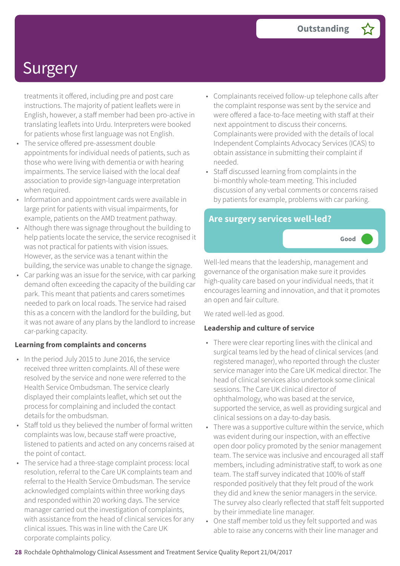treatments it offered, including pre and post care instructions. The majority of patient leaflets were in English, however, a staff member had been pro-active in translating leaflets into Urdu. Interpreters were booked for patients whose first language was not English.

- The service offered pre-assessment double appointments for individual needs of patients, such as those who were living with dementia or with hearing impairments. The service liaised with the local deaf association to provide sign-language interpretation when required.
- Information and appointment cards were available in large print for patients with visual impairments, for example, patients on the AMD treatment pathway.
- Although there was signage throughout the building to help patients locate the service, the service recognised it was not practical for patients with vision issues. However, as the service was a tenant within the building, the service was unable to change the signage.
- Car parking was an issue for the service, with car parking demand often exceeding the capacity of the building car park. This meant that patients and carers sometimes needed to park on local roads. The service had raised this as a concern with the landlord for the building, but it was not aware of any plans by the landlord to increase car-parking capacity.

#### **Learning from complaints and concerns**

- In the period July 2015 to June 2016, the service received three written complaints. All of these were resolved by the service and none were referred to the Health Service Ombudsman. The service clearly displayed their complaints leaflet, which set out the process for complaining and included the contact details for the ombudsman.
- Staff told us they believed the number of formal written complaints was low, because staff were proactive, listened to patients and acted on any concerns raised at the point of contact.
- The service had a three-stage complaint process: local resolution, referral to the Care UK complaints team and referral to the Health Service Ombudsman. The service acknowledged complaints within three working days and responded within 20 working days. The service manager carried out the investigation of complaints, with assistance from the head of clinical services for any clinical issues. This was in line with the Care UK corporate complaints policy.
- Complainants received follow-up telephone calls after the complaint response was sent by the service and were offered a face-to-face meeting with staff at their next appointment to discuss their concerns. Complainants were provided with the details of local Independent Complaints Advocacy Services (ICAS) to obtain assistance in submitting their complaint if needed.
- Staff discussed learning from complaints in the bi-monthly whole-team meeting. This included discussion of any verbal comments or concerns raised by patients for example, problems with car parking.

### **Are surgery services well-led?**



Well-led means that the leadership, management and governance of the organisation make sure it provides high-quality care based on your individual needs, that it encourages learning and innovation, and that it promotes an open and fair culture.

We rated well-led as good.

### **Leadership and culture of service**

- There were clear reporting lines with the clinical and surgical teams led by the head of clinical services (and registered manager), who reported through the cluster service manager into the Care UK medical director. The head of clinical services also undertook some clinical sessions. The Care UK clinical director of ophthalmology, who was based at the service, supported the service, as well as providing surgical and clinical sessions on a day-to-day basis.
- There was a supportive culture within the service, which was evident during our inspection, with an effective open door policy promoted by the senior management team. The service was inclusive and encouraged all staff members, including administrative staff, to work as one team. The staff survey indicated that 100% of staff responded positively that they felt proud of the work they did and knew the senior managers in the service. The survey also clearly reflected that staff felt supported by their immediate line manager.
- One staff member told us they felt supported and was able to raise any concerns with their line manager and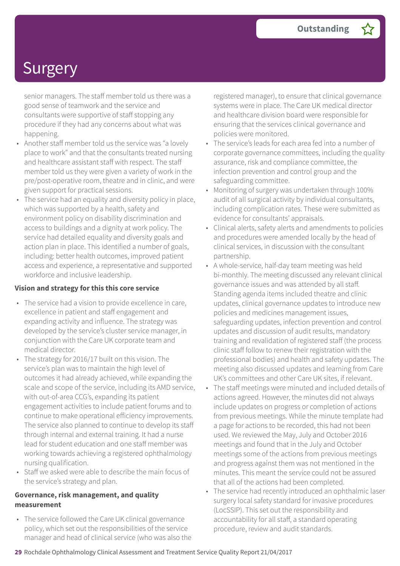senior managers. The staff member told us there was a good sense of teamwork and the service and consultants were supportive of staff stopping any procedure if they had any concerns about what was happening.

- Another staff member told us the service was "a lovely place to work" and that the consultants treated nursing and healthcare assistant staff with respect. The staff member told us they were given a variety of work in the pre/post-operative room, theatre and in clinic, and were given support for practical sessions.
- The service had an equality and diversity policy in place, which was supported by a health, safety and environment policy on disability discrimination and access to buildings and a dignity at work policy. The service had detailed equality and diversity goals and action plan in place. This identified a number of goals, including: better health outcomes, improved patient access and experience, a representative and supported workforce and inclusive leadership.

#### **Vision and strategy for this this core service**

- The service had a vision to provide excellence in care, excellence in patient and staff engagement and expanding activity and influence. The strategy was developed by the service's cluster service manager, in conjunction with the Care UK corporate team and medical director.
- The strategy for 2016/17 built on this vision. The service's plan was to maintain the high level of outcomes it had already achieved, while expanding the scale and scope of the service, including its AMD service, with out-of-area CCG's, expanding its patient engagement activities to include patient forums and to continue to make operational efficiency improvements. The service also planned to continue to develop its staff through internal and external training. It had a nurse lead for student education and one staff member was working towards achieving a registered ophthalmology nursing qualification.
- Staff we asked were able to describe the main focus of the service's strategy and plan.

#### **Governance, risk management, and quality measurement**

• The service followed the Care UK clinical governance policy, which set out the responsibilities of the service manager and head of clinical service (who was also the registered manager), to ensure that clinical governance systems were in place. The Care UK medical director and healthcare division board were responsible for ensuring that the services clinical governance and policies were monitored.

- The service's leads for each area fed into a number of corporate governance committees, including the quality assurance, risk and compliance committee, the infection prevention and control group and the safeguarding committee.
- Monitoring of surgery was undertaken through 100% audit of all surgical activity by individual consultants, including complication rates. These were submitted as evidence for consultants' appraisals.
- Clinical alerts, safety alerts and amendments to policies and procedures were amended locally by the head of clinical services, in discussion with the consultant partnership.
- A whole-service, half-day team meeting was held bi-monthly. The meeting discussed any relevant clinical governance issues and was attended by all staff. Standing agenda items included theatre and clinic updates, clinical governance updates to introduce new policies and medicines management issues, safeguarding updates, infection prevention and control updates and discussion of audit results, mandatory training and revalidation of registered staff (the process clinic staff follow to renew their registration with the professional bodies) and health and safety updates. The meeting also discussed updates and learning from Care UK's committees and other Care UK sites, if relevant.
- The staff meetings were minuted and included details of actions agreed. However, the minutes did not always include updates on progress or completion of actions from previous meetings. While the minute template had a page for actions to be recorded, this had not been used. We reviewed the May, July and October 2016 meetings and found that in the July and October meetings some of the actions from previous meetings and progress against them was not mentioned in the minutes. This meant the service could not be assured that all of the actions had been completed.
- The service had recently introduced an ophthalmic laser surgery local safety standard for invasive procedures (LocSSIP). This set out the responsibility and accountability for all staff, a standard operating procedure, review and audit standards.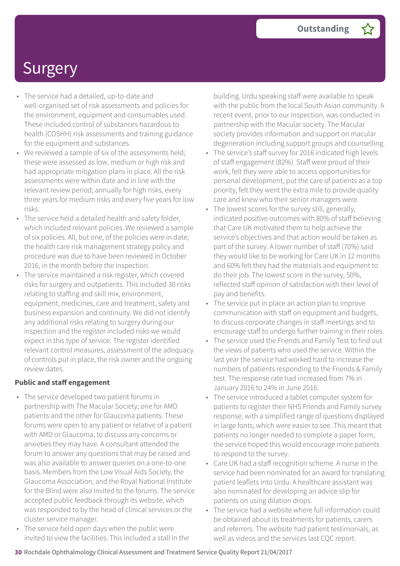- The service had a detailed, up-to-date and well-organised set of risk assessments and policies for the environment, equipment and consumables used. These included control of substances hazardous to health (COSHH) risk assessments and training guidance for the equipment and substances.
- We reviewed a sample of six of the assessments held; these were assessed as low, medium or high risk and had appropriate mitigation plans in place. All the risk assessments were within date and in line with the relevant review period; annually for high risks, every three years for medium risks and every five years for low risks.
- The service held a detailed health and safety folder, which included relevant policies. We reviewed a sample of six policies. All, but one, of the policies were in date; the health care risk management strategy policy and procedure was due to have been reviewed in October 2016, in the month before the inspection.
- The service maintained a risk register, which covered risks for surgery and outpatients. This included 30 risks relating to staffing and skill mix, environment, equipment, medicines, care and treatment, safety and business expansion and continuity. We did not identify any additional risks relating to surgery during our inspection and the register included risks we would expect in this type of service. The register identified relevant control measures, assessment of the adequacy of controls put in place, the risk owner and the ongoing review dates.

#### **Public and staff engagement**

- The service developed two patient forums in partnership with The Macular Society; one for AMD patients and the other for Glaucoma patients. These forums were open to any patient or relative of a patient with AMD or Glaucoma, to discuss any concerns or anxieties they may have. A consultant attended the forum to answer any questions that may be raised and was also available to answer queries on a one-to-one basis. Members from the Low Visual Aids Society, the Glaucoma Association, and the Royal National Institute for the Blind were also invited to the forums. The service accepted public feedback through its website, which was responded to by the head of clinical services or the cluster service manager.
- The service held open days when the public were invited to view the facilities. This included a stall in the

building. Urdu speaking staff were available to speak with the public from the local South Asian community. A recent event, prior to our inspection, was conducted in partnership with the Macular society. The Macular society provides information and support on macular degeneration including support groups and counselling.

- The service's staff survey for 2016 indicated high levels of staff engagement (82%). Staff were proud of their work, felt they were able to access opportunities for personal development, put the care of patients as a top priority, felt they went the extra mile to provide quality care and knew who their senior managers were.
- The lowest scores for the survey still, generally, indicated positive outcomes with 80% of staff believing that Care UK motivated them to help achieve the service's objectives and that action would be taken as part of the survey. A lower number of staff (70%) said they would like to be working for Care UK in 12 months and 60% felt they had the materials and equipment to do their job. The lowest score in the survey, 50%, reflected staff opinion of satisfaction with their level of pay and benefits.
- The service put in place an action plan to improve communication with staff on equipment and budgets, to discuss corporate changes in staff meetings and to encourage staff to undergo further training in their roles.
- The service used the Friends and Family Test to find out the views of patients who used the service. Within the last year the service had worked hard to increase the numbers of patients responding to the Friends & Family test. The response rate had increased from 7% in January 2016 to 24% in June 2016.
- The service introduced a tablet computer system for patients to register their NHS Friends and Family survey response, with a simplified range of questions displayed in large fonts, which were easier to see. This meant that patients no longer needed to complete a paper form; the service hoped this would encourage more patients to respond to the survey.
- Care UK had a staff recognition scheme. A nurse in the service had been nominated for an award for translating patient leaflets into Urdu. A healthcare assistant was also nominated for developing an advice slip for patients on using dilation drops.
- The service had a website where full information could be obtained about its treatments for patients, carers and referrers. The website had patient testimonials, as well as videos and the services last CQC report.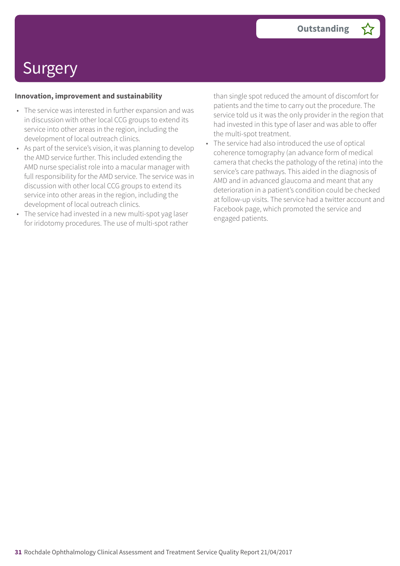#### **Innovation, improvement and sustainability**

- The service was interested in further expansion and was in discussion with other local CCG groups to extend its service into other areas in the region, including the development of local outreach clinics.
- As part of the service's vision, it was planning to develop the AMD service further. This included extending the AMD nurse specialist role into a macular manager with full responsibility for the AMD service. The service was in discussion with other local CCG groups to extend its service into other areas in the region, including the development of local outreach clinics.
- The service had invested in a new multi-spot yag laser for iridotomy procedures. The use of multi-spot rather

than single spot reduced the amount of discomfort for patients and the time to carry out the procedure. The service told us it was the only provider in the region that had invested in this type of laser and was able to offer the multi-spot treatment.

The service had also introduced the use of optical coherence tomography (an advance form of medical camera that checks the pathology of the retina) into the service's care pathways. This aided in the diagnosis of AMD and in advanced glaucoma and meant that any deterioration in a patient's condition could be checked at follow-up visits. The service had a twitter account and Facebook page, which promoted the service and engaged patients.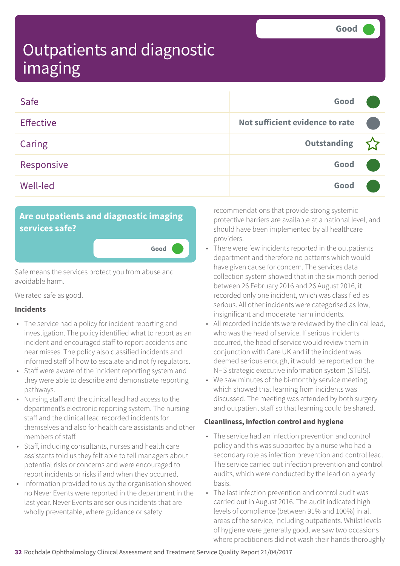| Safe             | Good                            |  |
|------------------|---------------------------------|--|
| <b>Effective</b> | Not sufficient evidence to rate |  |
| Caring           | Outstanding                     |  |
| Responsive       | Good                            |  |
| <b>Well-led</b>  | Good                            |  |

**Good –––**

### **Are outpatients and diagnostic imaging services safe?**

Safe means the services protect you from abuse and avoidable harm.

We rated safe as good.

#### **Incidents**

- The service had a policy for incident reporting and investigation. The policy identified what to report as an incident and encouraged staff to report accidents and near misses. The policy also classified incidents and informed staff of how to escalate and notify regulators.
- Staff were aware of the incident reporting system and they were able to describe and demonstrate reporting pathways.
- Nursing staff and the clinical lead had access to the department's electronic reporting system. The nursing staff and the clinical lead recorded incidents for themselves and also for health care assistants and other members of staff.
- Staff, including consultants, nurses and health care assistants told us they felt able to tell managers about potential risks or concerns and were encouraged to report incidents or risks if and when they occurred.
- Information provided to us by the organisation showed no Never Events were reported in the department in the last year. Never Events are serious incidents that are wholly preventable, where guidance or safety

recommendations that provide strong systemic protective barriers are available at a national level, and should have been implemented by all healthcare providers.

- There were few incidents reported in the outpatients department and therefore no patterns which would have given cause for concern. The services data collection system showed that in the six month period between 26 February 2016 and 26 August 2016, it recorded only one incident, which was classified as serious. All other incidents were categorised as low, insignificant and moderate harm incidents.
- All recorded incidents were reviewed by the clinical lead, who was the head of service. If serious incidents occurred, the head of service would review them in conjunction with Care UK and if the incident was deemed serious enough, it would be reported on the NHS strategic executive information system (STEIS).
- We saw minutes of the bi-monthly service meeting, which showed that learning from incidents was discussed. The meeting was attended by both surgery and outpatient staff so that learning could be shared.

#### **Cleanliness, infection control and hygiene**

- The service had an infection prevention and control policy and this was supported by a nurse who had a secondary role as infection prevention and control lead. The service carried out infection prevention and control audits, which were conducted by the lead on a yearly basis.
- The last infection prevention and control audit was carried out in August 2016. The audit indicated high levels of compliance (between 91% and 100%) in all areas of the service, including outpatients. Whilst levels of hygiene were generally good, we saw two occasions where practitioners did not wash their hands thoroughly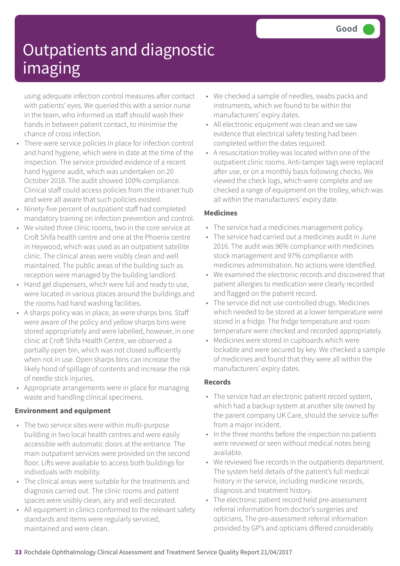using adequate infection control measures after contact with patients' eyes. We queried this with a senior nurse in the team, who informed us staff should wash their hands in between patient contact, to minimise the chance of cross infection.

- There were service policies in place for infection control and hand hygiene, which were in date at the time of the inspection. The service provided evidence of a recent hand hygiene audit, which was undertaken on 20 October 2016. The audit showed 100% compliance. Clinical staff could access policies from the intranet hub and were all aware that such policies existed.
- Ninety-five percent of outpatient staff had completed mandatory training on infection prevention and control.
- We visited three clinic rooms, two in the core service at Croft Shifa health centre and one at the Phoenix centre in Heywood, which was used as an outpatient satellite clinic. The clinical areas were visibly clean and well maintained. The public areas of the building such as reception were managed by the building landlord.
- Hand gel dispensers, which were full and ready to use, were located in various places around the buildings and the rooms had hand washing facilities.
- A sharps policy was in place, as were sharps bins. Staff were aware of the policy and yellow sharps bins were stored appropriately and were labelled, however, in one clinic at Croft Shifa Health Centre, we observed a partially open bin, which was not closed sufficiently when not in use. Open sharps bins can increase the likely hood of spillage of contents and increase the risk of needle stick injuries.
- Appropriate arrangements were in place for managing waste and handling clinical specimens.

### **Environment and equipment**

- The two service sites were within multi-purpose building in two local health centres and were easily accessible with automatic doors at the entrance. The main outpatient services were provided on the second floor. Lifts were available to access both buildings for individuals with mobility.
- The clinical areas were suitable for the treatments and diagnosis carried out. The clinic rooms and patient spaces were visibly clean, airy and well decorated.
- All equipment in clinics conformed to the relevant safety standards and items were regularly serviced, maintained and were clean.
- We checked a sample of needles, swabs packs and instruments, which we found to be within the manufacturers' expiry dates.
- All electronic equipment was clean and we saw evidence that electrical safety testing had been completed within the dates required.
- A resuscitation trolley was located within one of the outpatient clinic rooms. Anti-tamper tags were replaced after use, or on a monthly basis following checks. We viewed the check logs, which were complete and we checked a range of equipment on the trolley, which was all within the manufacturers' expiry date.

### **Medicines**

- The service had a medicines management policy.
- The service had carried out a medicines audit in June 2016. The audit was 96% compliance with medicines stock management and 97% compliance with medicines administration. No actions were identified.
- We examined the electronic records and discovered that patient allergies to medication were clearly recorded and flagged on the patient record.
- The service did not use controlled drugs. Medicines which needed to be stored at a lower temperature were stored in a fridge. The fridge temperature and room temperature were checked and recorded appropriately.
- Medicines were stored in cupboards which were lockable and were secured by key. We checked a sample of medicines and found that they were all within the manufacturers' expiry dates.

### **Records**

- The service had an electronic patient record system, which had a backup system at another site owned by the parent company UK Care, should the service suffer from a major incident.
- In the three months before the inspection no patients were reviewed or seen without medical notes being available.
- We reviewed five records in the outpatients department. The system held details of the patient's full medical history in the service, including medicine records, diagnosis and treatment history.
- The electronic patient record held pre-assessment referral information from doctor's surgeries and opticians. The pre-assessment referral information provided by GP's and opticians differed considerably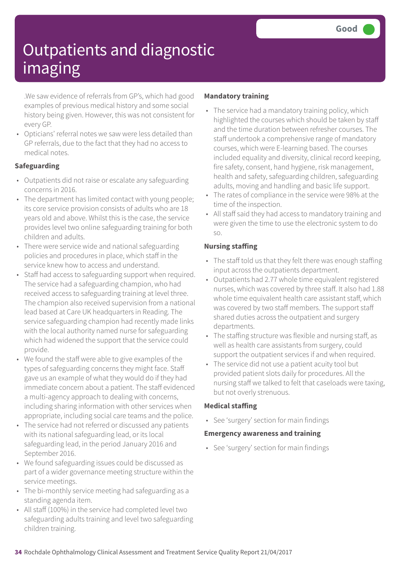.We saw evidence of referrals from GP's, which had good examples of previous medical history and some social history being given. However, this was not consistent for every GP.

• Opticians' referral notes we saw were less detailed than GP referrals, due to the fact that they had no access to medical notes.

### **Safeguarding**

- Outpatients did not raise or escalate any safeguarding concerns in 2016.
- The department has limited contact with young people; its core service provision consists of adults who are 18 years old and above. Whilst this is the case, the service provides level two online safeguarding training for both children and adults.
- There were service wide and national safeguarding policies and procedures in place, which staff in the service knew how to access and understand.
- Staff had access to safeguarding support when required. The service had a safeguarding champion, who had received access to safeguarding training at level three. The champion also received supervision from a national lead based at Care UK headquarters in Reading. The service safeguarding champion had recently made links with the local authority named nurse for safeguarding which had widened the support that the service could provide.
- We found the staff were able to give examples of the types of safeguarding concerns they might face. Staff gave us an example of what they would do if they had immediate concern about a patient. The staff evidenced a multi-agency approach to dealing with concerns, including sharing information with other services when appropriate, including social care teams and the police.
- The service had not referred or discussed any patients with its national safeguarding lead, or its local safeguarding lead, in the period January 2016 and September 2016.
- We found safeguarding issues could be discussed as part of a wider governance meeting structure within the service meetings.
- The bi-monthly service meeting had safeguarding as a standing agenda item.
- All staff (100%) in the service had completed level two safeguarding adults training and level two safeguarding children training.

### **Mandatory training**

- The service had a mandatory training policy, which highlighted the courses which should be taken by staff and the time duration between refresher courses. The staff undertook a comprehensive range of mandatory courses, which were E-learning based. The courses included equality and diversity, clinical record keeping, fire safety, consent, hand hygiene, risk management, health and safety, safeguarding children, safeguarding adults, moving and handling and basic life support.
- The rates of compliance in the service were 98% at the time of the inspection.
- All staff said they had access to mandatory training and were given the time to use the electronic system to do so.

### **Nursing staffing**

- The staff told us that they felt there was enough staffing input across the outpatients department.
- Outpatients had 2.77 whole time equivalent registered nurses, which was covered by three staff. It also had 1.88 whole time equivalent health care assistant staff, which was covered by two staff members. The support staff shared duties across the outpatient and surgery departments.
- The staffing structure was flexible and nursing staff, as well as health care assistants from surgery, could support the outpatient services if and when required.
- The service did not use a patient acuity tool but provided patient slots daily for procedures. All the nursing staff we talked to felt that caseloads were taxing, but not overly strenuous.

### **Medical staffing**

• See 'surgery' section for main findings

#### **Emergency awareness and training**

• See 'surgery' section for main findings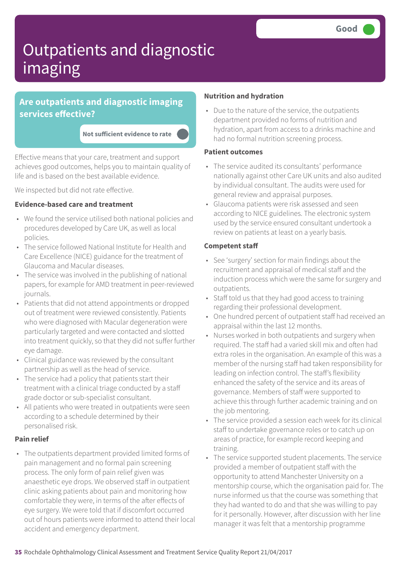### **Are outpatients and diagnostic imaging services effective?**

**Not sufficient evidence to rate –––**

Effective means that your care, treatment and support achieves good outcomes, helps you to maintain quality of life and is based on the best available evidence.

We inspected but did not rate effective.

#### **Evidence-based care and treatment**

- We found the service utilised both national policies and procedures developed by Care UK, as well as local policies.
- The service followed National Institute for Health and Care Excellence (NICE) guidance for the treatment of Glaucoma and Macular diseases.
- The service was involved in the publishing of national papers, for example for AMD treatment in peer-reviewed journals.
- Patients that did not attend appointments or dropped out of treatment were reviewed consistently. Patients who were diagnosed with Macular degeneration were particularly targeted and were contacted and slotted into treatment quickly, so that they did not suffer further eye damage.
- Clinical guidance was reviewed by the consultant partnership as well as the head of service.
- The service had a policy that patients start their treatment with a clinical triage conducted by a staff grade doctor or sub-specialist consultant.
- All patients who were treated in outpatients were seen according to a schedule determined by their personalised risk.

#### **Pain relief**

• The outpatients department provided limited forms of pain management and no formal pain screening process. The only form of pain relief given was anaesthetic eye drops. We observed staff in outpatient clinic asking patients about pain and monitoring how comfortable they were, in terms of the after effects of eye surgery. We were told that if discomfort occurred out of hours patients were informed to attend their local accident and emergency department.

#### **Nutrition and hydration**

• Due to the nature of the service, the outpatients department provided no forms of nutrition and hydration, apart from access to a drinks machine and had no formal nutrition screening process.

#### **Patient outcomes**

- The service audited its consultants' performance nationally against other Care UK units and also audited by individual consultant. The audits were used for general review and appraisal purposes.
- Glaucoma patients were risk assessed and seen according to NICE guidelines. The electronic system used by the service ensured consultant undertook a review on patients at least on a yearly basis.

#### **Competent staff**

- See 'surgery' section for main findings about the recruitment and appraisal of medical staff and the induction process which were the same for surgery and outpatients.
- Staff told us that they had good access to training regarding their professional development.
- One hundred percent of outpatient staff had received an appraisal within the last 12 months.
- Nurses worked in both outpatients and surgery when required. The staff had a varied skill mix and often had extra roles in the organisation. An example of this was a member of the nursing staff had taken responsibility for leading on infection control. The staff's flexibility enhanced the safety of the service and its areas of governance. Members of staff were supported to achieve this through further academic training and on the job mentoring.
- The service provided a session each week for its clinical staff to undertake governance roles or to catch up on areas of practice, for example record keeping and training.
- The service supported student placements. The service provided a member of outpatient staff with the opportunity to attend Manchester University on a mentorship course, which the organisation paid for. The nurse informed us that the course was something that they had wanted to do and that she was willing to pay for it personally. However, after discussion with her line manager it was felt that a mentorship programme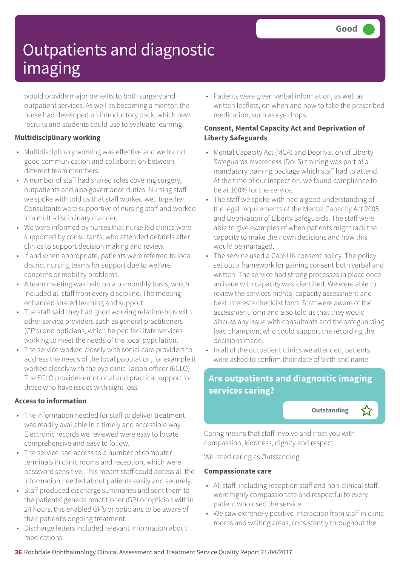would provide major benefits to both surgery and outpatient services. As well as becoming a mentor, the nurse had developed an introductory pack, which new recruits and students could use to evaluate learning.

### **Multidisciplinary working**

- Multidisciplinary working was effective and we found good communication and collaboration between different team members.
- A number of staff had shared roles covering surgery, outpatients and also governance duties. Nursing staff we spoke with told us that staff worked well together. Consultants were supportive of nursing staff and worked in a multi-disciplinary manner.
- We were informed by nurses that nurse led clinics were supported by consultants, who attended debriefs after clinics to support decision making and review.
- If and when appropriate, patients were referred to local district nursing teams for support due to welfare concerns or mobility problems.
- A team meeting was held on a bi-monthly basis, which included all staff from every discipline. The meeting enhanced shared learning and support.
- The staff said they had good working relationships with other service providers such as general practitioners (GP's) and opticians, which helped facilitate services working to meet the needs of the local population.
- The service worked closely with social care providers to address the needs of the local population, for example it worked closely with the eye clinic liaison officer (ECLO). The ECLO provides emotional and practical support for those who have issues with sight loss.

#### **Access to information**

- The information needed for staff to deliver treatment was readily available in a timely and accessible way. Electronic records we reviewed were easy to locate comprehensive and easy to follow.
- The service had access to a number of computer terminals in clinic rooms and reception, which were password sensitive. This meant staff could access all the information needed about patients easily and securely.
- Staff produced discharge summaries and sent them to the patients' general practitioner (GP) or optician within 24 hours, this enabled GP's or opticians to be aware of their patient's ongoing treatment.
- Discharge letters included relevant information about medications.

• Patients were given verbal information, as well as written leaflets, on when and how to take the prescribed medication, such as eye drops.

### **Consent, Mental Capacity Act and Deprivation of Liberty Safeguards**

- Mental Capacity Act (MCA) and Deprivation of Liberty Safeguards awareness (DoLS) training was part of a mandatory training package which staff had to attend. At the time of our inspection, we found compliance to be at 100% for the service.
- The staff we spoke with had a good understanding of the legal requirements of the Mental Capacity Act 2005 and Deprivation of Liberty Safeguards. The staff were able to give examples of when patients might lack the capacity to make their own decisions and how this would be managed.
- The service used a Care UK consent policy. The policy set out a framework for gaining consent both verbal and written. The service had strong processes in place once an issue with capacity was identified. We were able to review the services mental capacity assessment and best interests checklist form. Staff were aware of the assessment form and also told us that they would discuss any issue with consultants and the safeguarding lead champion, who could support the recording the decisions made.
- In all of the outpatient clinics we attended, patients were asked to confirm their date of birth and name.

### **Are outpatients and diagnostic imaging services caring?**

**Outstanding** 



Caring means that staff involve and treat you with compassion, kindness, dignity and respect.

We rated caring as Outstanding.

#### **Compassionate care**

- All staff, including reception staff and non-clinical staff, were highly compassionate and respectful to every patient who used the service.
- We saw extremely positive interaction from staff in clinic rooms and waiting areas, consistently throughout the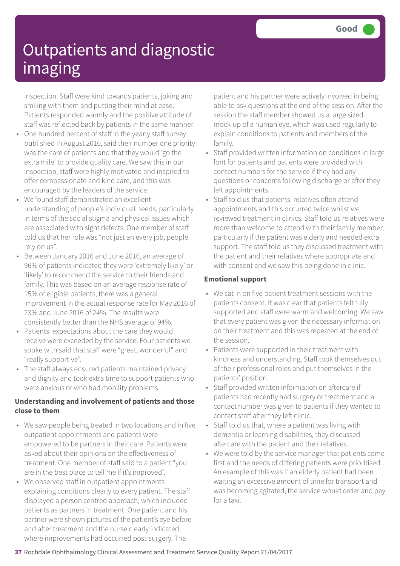inspection. Staff were kind towards patients, joking and smiling with them and putting their mind at ease. Patients responded warmly and the positive attitude of staff was reflected back by patients in the same manner.

- One hundred percent of staff in the yearly staff survey published in August 2016, said their number one priority was the care of patients and that they would 'go the extra mile' to provide quality care. We saw this in our inspection, staff were highly motivated and inspired to offer compassionate and kind care, and this was encouraged by the leaders of the service.
- We found staff demonstrated an excellent understanding of people's individual needs, particularly in terms of the social stigma and physical issues which are associated with sight defects. One member of staff told us that her role was "not just an every job, people rely on us".
- Between January 2016 and June 2016, an average of 96% of patients indicated they were 'extremely likely' or 'likely' to recommend the service to their friends and family. This was based on an average response rate of 15% of eligible patients; there was a general improvement in the actual response rate for May 2016 of 23% and June 2016 of 24%. The results were consistently better than the NHS average of 94%.
- Patients' expectations about the care they would receive were exceeded by the service. Four patients we spoke with said that staff were "great, wonderful" and "really supportive".
- The staff always ensured patients maintained privacy and dignity and took extra time to support patients who were anxious or who had mobility problems.

### **Understanding and involvement of patients and those close to them**

- We saw people being treated in two locations and in five outpatient appointments and patients were empowered to be partners in their care. Patients were asked about their opinions on the effectiveness of treatment. One member of staff said to a patient "you are in the best place to tell me if it's improved".
- We observed staff in outpatient appointments explaining conditions clearly to every patient. The staff displayed a person centred approach, which included patients as partners in treatment. One patient and his partner were shown pictures of the patient's eye before and after treatment and the nurse clearly indicated where improvements had occurred post-surgery. The

patient and his partner were actively involved in being able to ask questions at the end of the session. After the session the staff member showed us a large sized mock-up of a human eye, which was used regularly to explain conditions to patients and members of the family.

- Staff provided written information on conditions in large font for patients and patients were provided with contact numbers for the service if they had any questions or concerns following discharge or after they left appointments.
- Staff told us that patients' relatives often attend appointments and this occurred twice whilst we reviewed treatment in clinics. Staff told us relatives were more than welcome to attend with their family member, particularly if the patient was elderly and needed extra support. The staff told us they discussed treatment with the patient and their relatives where appropriate and with consent and we saw this being done in clinic.

### **Emotional support**

- We sat in on five patient treatment sessions with the patients consent. It was clear that patients felt fully supported and staff were warm and welcoming. We saw that every patient was given the necessary information on their treatment and this was repeated at the end of the session.
- Patients were supported in their treatment with kindness and understanding. Staff took themselves out of their professional roles and put themselves in the patients' position.
- Staff provided written information on aftercare if patients had recently had surgery or treatment and a contact number was given to patients if they wanted to contact staff after they left clinic.
- Staff told us that, where a patient was living with dementia or learning disabilities, they discussed aftercare with the patient and their relatives.
- We were told by the service manager that patients come first and the needs of differing patients were prioritised. An example of this was if an elderly patient had been waiting an excessive amount of time for transport and was becoming agitated, the service would order and pay for a taxi.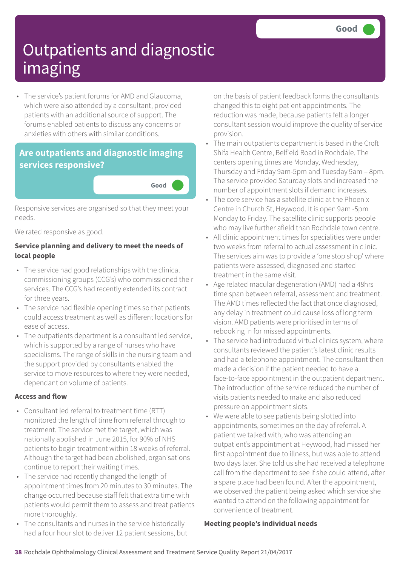• The service's patient forums for AMD and Glaucoma, which were also attended by a consultant, provided patients with an additional source of support. The forums enabled patients to discuss any concerns or anxieties with others with similar conditions.

### **Are outpatients and diagnostic imaging services responsive?**



Responsive services are organised so that they meet your needs.

We rated responsive as good.

### **Service planning and delivery to meet the needs of local people**

- The service had good relationships with the clinical commissioning groups (CCG's) who commissioned their services. The CCG's had recently extended its contract for three years.
- The service had flexible opening times so that patients could access treatment as well as different locations for ease of access.
- The outpatients department is a consultant led service, which is supported by a range of nurses who have specialisms. The range of skills in the nursing team and the support provided by consultants enabled the service to move resources to where they were needed, dependant on volume of patients.

### **Access and flow**

- Consultant led referral to treatment time (RTT) monitored the length of time from referral through to treatment. The service met the target, which was nationally abolished in June 2015, for 90% of NHS patients to begin treatment within 18 weeks of referral. Although the target had been abolished, organisations continue to report their waiting times.
- The service had recently changed the length of appointment times from 20 minutes to 30 minutes. The change occurred because staff felt that extra time with patients would permit them to assess and treat patients more thoroughly.
- The consultants and nurses in the service historically had a four hour slot to deliver 12 patient sessions, but

on the basis of patient feedback forms the consultants changed this to eight patient appointments. The reduction was made, because patients felt a longer consultant session would improve the quality of service provision.

- The main outpatients department is based in the Croft Shifa Health Centre, Belfield Road in Rochdale. The centers opening times are Monday, Wednesday, Thursday and Friday 9am-5pm and Tuesday 9am – 8pm. The service provided Saturday slots and increased the number of appointment slots if demand increases.
- The core service has a satellite clinic at the Phoenix Centre in Church St, Heywood. It is open 9am -5pm Monday to Friday. The satellite clinic supports people who may live further afield than Rochdale town centre.
- All clinic appointment times for specialities were under two weeks from referral to actual assessment in clinic. The services aim was to provide a 'one stop shop' where patients were assessed, diagnosed and started treatment in the same visit.
- Age related macular degeneration (AMD) had a 48hrs time span between referral, assessment and treatment. The AMD times reflected the fact that once diagnosed, any delay in treatment could cause loss of long term vision. AMD patients were prioritised in terms of rebooking in for missed appointments.
- The service had introduced virtual clinics system, where consultants reviewed the patient's latest clinic results and had a telephone appointment. The consultant then made a decision if the patient needed to have a face-to-face appointment in the outpatient department. The introduction of the service reduced the number of visits patients needed to make and also reduced pressure on appointment slots.
- We were able to see patients being slotted into appointments, sometimes on the day of referral. A patient we talked with, who was attending an outpatient's appointment at Heywood, had missed her first appointment due to illness, but was able to attend two days later. She told us she had received a telephone call from the department to see if she could attend, after a spare place had been found. After the appointment, we observed the patient being asked which service she wanted to attend on the following appointment for convenience of treatment.

### **Meeting people's individual needs**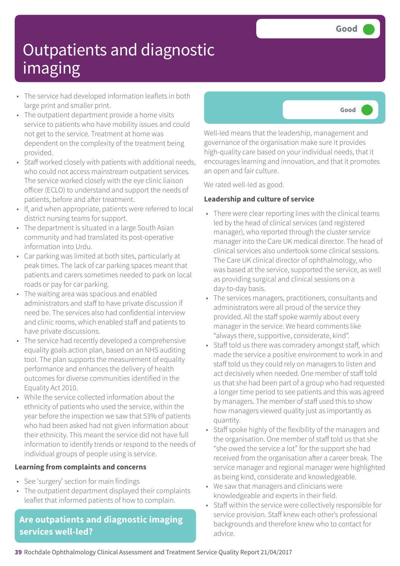- The service had developed information leaflets in both large print and smaller print.
- The outpatient department provide a home visits service to patients who have mobility issues and could not get to the service. Treatment at home was dependent on the complexity of the treatment being provided.
- Staff worked closely with patients with additional needs, who could not access mainstream outpatient services. The service worked closely with the eye clinic liaison officer (ECLO) to understand and support the needs of patients, before and after treatment.
- If, and when appropriate, patients were referred to local district nursing teams for support.
- The department is situated in a large South Asian community and had translated its post-operative information into Urdu.
- Car parking was limited at both sites, particularly at peak times. The lack of car parking spaces meant that patients and carers sometimes needed to park on local roads or pay for car parking.
- The waiting area was spacious and enabled administrators and staff to have private discussion if need be. The services also had confidential interview and clinic rooms, which enabled staff and patients to have private discussions.
- The service had recently developed a comprehensive equality goals action plan, based on an NHS auditing tool. The plan supports the measurement of equality performance and enhances the delivery of health outcomes for diverse communities identified in the Equality Act 2010.
- While the service collected information about the ethnicity of patients who used the service, within the year before the inspection we saw that 53% of patients who had been asked had not given information about their ethnicity. This meant the service did not have full information to identify trends or respond to the needs of individual groups of people using is service.

#### **Learning from complaints and concerns**

- See 'surgery' section for main findings
- The outpatient department displayed their complaints leaflet that informed patients of how to complain.

### **Are outpatients and diagnostic imaging services well-led?**



Well-led means that the leadership, management and governance of the organisation make sure it provides high-quality care based on your individual needs, that it encourages learning and innovation, and that it promotes an open and fair culture.

We rated well-led as good.

### **Leadership and culture of service**

- There were clear reporting lines with the clinical teams led by the head of clinical services (and registered manager), who reported through the cluster service manager into the Care UK medical director. The head of clinical services also undertook some clinical sessions. The Care UK clinical director of ophthalmology, who was based at the service, supported the service, as well as providing surgical and clinical sessions on a day-to-day basis.
- The services managers, practitioners, consultants and administrators were all proud of the service they provided. All the staff spoke warmly about every manager in the service. We heard comments like "always there, supportive, considerate, kind".
- Staff told us there was comradery amongst staff, which made the service a positive environment to work in and staff told us they could rely on managers to listen and act decisively when needed. One member of staff told us that she had been part of a group who had requested a longer time period to see patients and this was agreed by managers. The member of staff used this to show how managers viewed quality just as importantly as quantity.
- Staff spoke highly of the flexibility of the managers and the organisation. One member of staff told us that she "she owed the service a lot" for the support she had received from the organisation after a career break. The service manager and regional manager were highlighted as being kind, considerate and knowledgeable.
- We saw that managers and clinicians were knowledgeable and experts in their field.
- Staff within the service were collectively responsible for service provision. Staff knew each other's professional backgrounds and therefore knew who to contact for advice.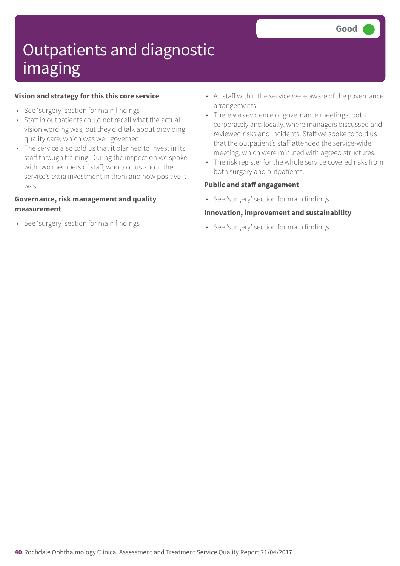#### **Vision and strategy for this this core service**

- See 'surgery' section for main findings
- Staff in outpatients could not recall what the actual vision wording was, but they did talk about providing quality care, which was well governed.
- The service also told us that it planned to invest in its staff through training. During the inspection we spoke with two members of staff, who told us about the service's extra investment in them and how positive it was.

#### **Governance, risk management and quality measurement**

• See 'surgery' section for main findings

- All staff within the service were aware of the governance arrangements.
- There was evidence of governance meetings, both corporately and locally, where managers discussed and reviewed risks and incidents. Staff we spoke to told us that the outpatient's staff attended the service-wide meeting, which were minuted with agreed structures.
- The risk register for the whole service covered risks from both surgery and outpatients.

#### **Public and staff engagement**

• See 'surgery' section for main findings

#### **Innovation, improvement and sustainability**

• See 'surgery' section for main findings